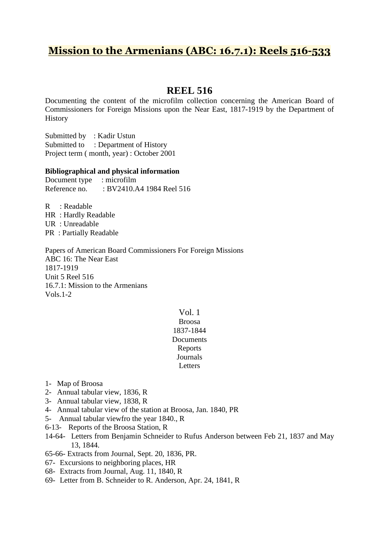# **Mission to the Armenians (ABC: 16.7.1): Reels 516-533**

## **REEL 516**

Documenting the content of the microfilm collection concerning the American Board of Commissioners for Foreign Missions upon the Near East, 1817-1919 by the Department of History

Submitted by : Kadir Ustun Submitted to : Department of History Project term ( month, year) : October 2001

### **Bibliographical and physical information**

Document type : microfilm Reference no. : BV2410.A4 1984 Reel 516

R : Readable HR : Hardly Readable UR : Unreadable PR : Partially Readable

Papers of American Board Commissioners For Foreign Missions ABC 16: The Near East 1817-1919 Unit 5 Reel 516 16.7.1: Mission to the Armenians Vols.1-2

### Vol. 1 Broosa 1837-1844 **Documents** Reports **Journals**

Letters

- 1- Map of Broosa
- 2- Annual tabular view, 1836, R
- 3- Annual tabular view, 1838, R
- 4- Annual tabular view of the station at Broosa, Jan. 1840, PR
- 5- Annual tabular viewfro the year 1840., R
- 6-13- Reports of the Broosa Station, R
- 14-64- Letters from Benjamin Schneider to Rufus Anderson between Feb 21, 1837 and May 13, 1844.
- 65-66- Extracts from Journal, Sept. 20, 1836, PR.
- 67- Excursions to neighboring places, HR
- 68- Extracts from Journal, Aug. 11, 1840, R
- 69- Letter from B. Schneider to R. Anderson, Apr. 24, 1841, R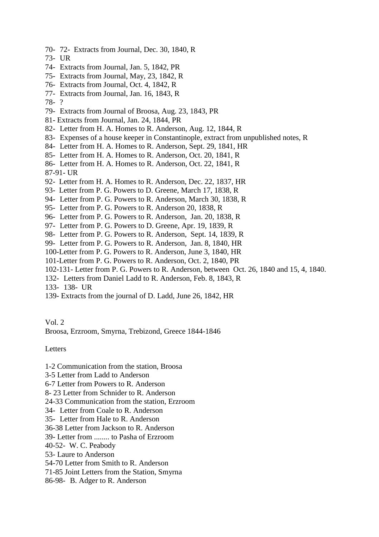- 70- 72- Extracts from Journal, Dec. 30, 1840, R
- 73- UR
- 74- Extracts from Journal, Jan. 5, 1842, PR
- 75- Extracts from Journal, May, 23, 1842, R
- 76- Extracts from Journal, Oct. 4, 1842, R
- 77- Extracts from Journal, Jan. 16, 1843, R
- 78- ?
- 79- Extracts from Journal of Broosa, Aug. 23, 1843, PR
- 81- Extracts from Journal, Jan. 24, 1844, PR
- 82- Letter from H. A. Homes to R. Anderson, Aug. 12, 1844, R
- 83- Expenses of a house keeper in Constantinople, extract from unpublished notes, R
- 84- Letter from H. A. Homes to R. Anderson, Sept. 29, 1841, HR
- 85- Letter from H. A. Homes to R. Anderson, Oct. 20, 1841, R
- 86- Letter from H. A. Homes to R. Anderson, Oct. 22, 1841, R
- 87-91- UR
- 92- Letter from H. A. Homes to R. Anderson, Dec. 22, 1837, HR
- 93- Letter from P. G. Powers to D. Greene, March 17, 1838, R
- 94- Letter from P. G. Powers to R. Anderson, March 30, 1838, R
- 95- Letter from P. G. Powers to R. Anderson 20, 1838, R
- 96- Letter from P. G. Powers to R. Anderson, Jan. 20, 1838, R
- 97- Letter from P. G. Powers to D. Greene, Apr. 19, 1839, R
- 98- Letter from P. G. Powers to R. Anderson, Sept. 14, 1839, R
- 99- Letter from P. G. Powers to R. Anderson, Jan. 8, 1840, HR
- 100-Letter from P. G. Powers to R. Anderson, June 3, 1840, HR
- 101-Letter from P. G. Powers to R. Anderson, Oct. 2, 1840, PR
- 102-131- Letter from P. G. Powers to R. Anderson, between Oct. 26, 1840 and 15, 4, 1840.
- 132- Letters from Daniel Ladd to R. Anderson, Feb. 8, 1843, R
- 133- 138- UR
- 139- Extracts from the journal of D. Ladd, June 26, 1842, HR

#### Vol. 2

Broosa, Erzroom, Smyrna, Trebizond, Greece 1844-1846

### Letters

- 1-2 Communication from the station, Broosa
- 3-5 Letter from Ladd to Anderson
- 6-7 Letter from Powers to R. Anderson
- 8- 23 Letter from Schnider to R. Anderson
- 24-33 Communication from the station, Erzroom
- 34- Letter from Coale to R. Anderson
- 35- Letter from Hale to R. Anderson
- 36-38 Letter from Jackson to R. Anderson
- 39- Letter from ........ to Pasha of Erzroom
- 40-52- W. C. Peabody
- 53- Laure to Anderson
- 54-70 Letter from Smith to R. Anderson
- 71-85 Joint Letters from the Station, Smyrna
- 86-98- B. Adger to R. Anderson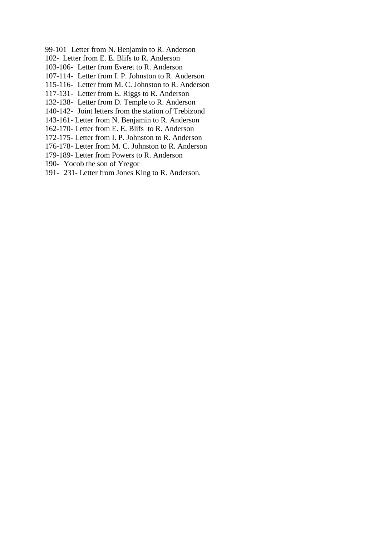- 99-101 Letter from N. Benjamin to R. Anderson
- 102- Letter from E. E. Blifs to R. Anderson
- 103-106- Letter from Everet to R. Anderson
- 107-114- Letter from I. P. Johnston to R. Anderson
- 115-116- Letter from M. C. Johnston to R. Anderson
- 117-131- Letter from E. Riggs to R. Anderson
- 132-138- Letter from D. Temple to R. Anderson
- 140-142- Joint letters from the station of Trebizond
- 143-161- Letter from N. Benjamin to R. Anderson
- 162-170- Letter from E. E. Blifs to R. Anderson
- 172-175- Letter from I. P. Johnston to R. Anderson
- 176-178- Letter from M. C. Johnston to R. Anderson
- 179-189- Letter from Powers to R. Anderson
- 190- Yocob the son of Yregor
- 191- 231- Letter from Jones King to R. Anderson.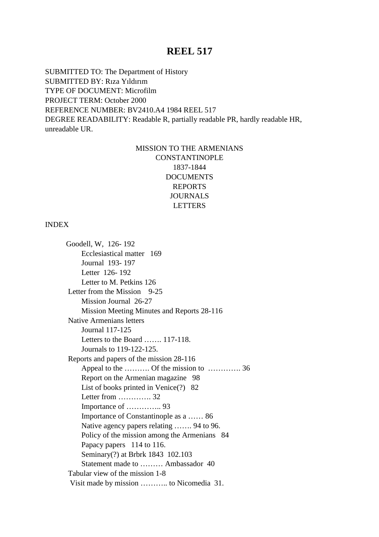SUBMITTED TO: The Department of History SUBMITTED BY: Rıza Yıldırım TYPE OF DOCUMENT: Microfilm PROJECT TERM: October 2000 REFERENCE NUMBER: BV2410.A4 1984 REEL 517 DEGREE READABILITY: Readable R, partially readable PR, hardly readable HR, unreadable UR.

## MISSION TO THE ARMENIANS CONSTANTINOPLE 1837-1844 DOCUMENTS REPORTS JOURNALS LETTERS

#### INDEX

 Goodell, W, 126- 192 Ecclesiastical matter 169 Journal 193- 197 Letter 126- 192 Letter to M. Petkins 126 Letter from the Mission 9-25 Mission Journal 26-27 Mission Meeting Minutes and Reports 28-116 Native Armenians letters Journal 117-125 Letters to the Board ……. 117-118. Journals to 119-122-125. Reports and papers of the mission 28-116 Appeal to the ………. Of the mission to …………. 36 Report on the Armenian magazine 98 List of books printed in Venice(?) 82 Letter from …………. 32 Importance of ………….. 93 Importance of Constantinople as a …… 86 Native agency papers relating ……. 94 to 96. Policy of the mission among the Armenians 84 Papacy papers 114 to 116. Seminary(?) at Brbrk 1843 102.103 Statement made to ……… Ambassador 40 Tabular view of the mission 1-8 Visit made by mission ……….. to Nicomedia 31.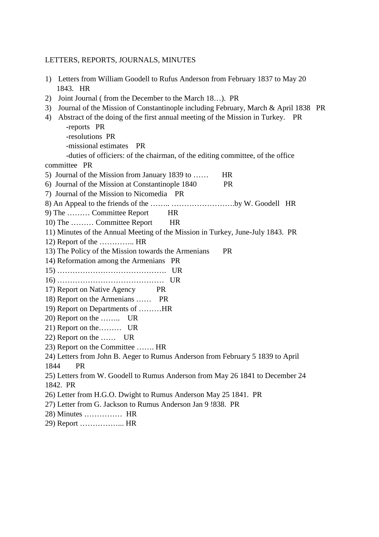#### LETTERS, REPORTS, JOURNALS, MINUTES

- 1) Letters from William Goodell to Rufus Anderson from February 1837 to May 20 1843. HR
- 2) Joint Journal ( from the December to the March 18…). PR
- 3) Journal of the Mission of Constantinople including February, March & April 1838 PR
- 4) Abstract of the doing of the first annual meeting of the Mission in Turkey. PR -reports PR -resolutions PR -missional estimates PR -duties of officiers: of the chairman, of the editing committee, of the office committee PR 5) Journal of the Mission from January 1839 to ...... HR 6) Journal of the Mission at Constantinople 1840 PR 7) Journal of the Mission to Nicomedia PR 8) An Appeal to the friends of the …….. …………………….by W. Goodell HR 9) The ……… Committee Report HR 10) The ……… Committee Report HR 11) Minutes of the Annual Meeting of the Mission in Turkey, June-July 1843. PR 12) Report of the ………….. HR 13) The Policy of the Mission towards the Armenians PR 14) Reformation among the Armenians PR 15) ……………………………………. UR 16) …………………………………… UR 17) Report on Native Agency PR 18) Report on the Armenians …… PR 19) Report on Departments of ………HR 20) Report on the …….. UR 21) Report on the……… UR 22) Report on the …… UR 23) Report on the Committee ……. HR 24) Letters from John B. Aeger to Rumus Anderson from February 5 1839 to April 1844 PR 25) Letters from W. Goodell to Rumus Anderson from May 26 1841 to December 24 1842. PR 26) Letter from H.G.O. Dwight to Rumus Anderson May 25 1841. PR 27) Letter from G. Jackson to Rumus Anderson Jan 9 !838. PR 28) Minutes …………… HR 29) Report ……………... HR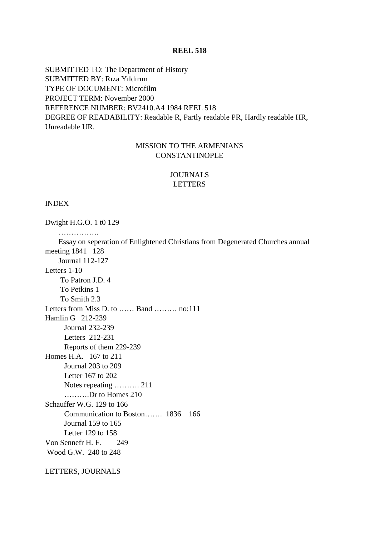SUBMITTED TO: The Department of History SUBMITTED BY: Rıza Yıldırım TYPE OF DOCUMENT: Microfilm PROJECT TERM: November 2000 REFERENCE NUMBER: BV2410.A4 1984 REEL 518 DEGREE OF READABILITY: Readable R, Partly readable PR, Hardly readable HR, Unreadable UR.

## MISSION TO THE ARMENIANS CONSTANTINOPLE

## JOURNALS LETTERS

### INDEX

Dwight H.G.O. 1 t0 129 ………………

 Essay on seperation of Enlightened Christians from Degenerated Churches annual meeting 1841 128 Journal 112-127 Letters 1-10 To Patron J.D. 4 To Petkins 1 To Smith 2.3 Letters from Miss D. to …… Band ……… no:111 Hamlin G 212-239 Journal 232-239 Letters 212-231 Reports of them 229-239 Homes H.A. 167 to 211 Journal 203 to 209 Letter 167 to 202 Notes repeating ………. 211 ……….Dr to Homes 210 Schauffer W.G. 129 to 166 Communication to Boston……. 1836 166 Journal 159 to 165 Letter 129 to 158 Von Sennefr H. F. 249 Wood G.W. 240 to 248

LETTERS, JOURNALS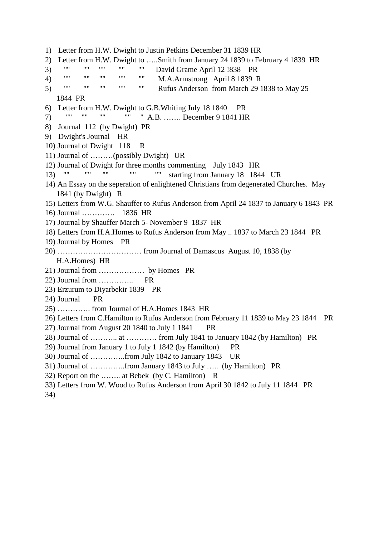1) Letter from H.W. Dwight to Justin Petkins December 31 1839 HR 2) Letter from H.W. Dwight to …..Smith from January 24 1839 to February 4 1839 HR 3) "'' "" "" "" "" David Grame April 12 !838 PR 4) "" "" "" "" "" M.A.Armstrong April 8 1839 R 5) "" "" "" "" "" Rufus Anderson from March 29 1838 to May 25 1844 PR 6) Letter from H.W. Dwight to G.B.Whiting July 18 1840 PR 7) "" "" "" "" " A.B. ……. December 9 1841 HR 8) Journal 112 (by Dwight) PR 9) Dwight's Journal HR 10) Journal of Dwight 118 R 11) Journal of ………(possibly Dwight) UR 12) Journal of Dwight for three months commenting July 1843 HR 13) "" "" "" "" "" starting from January 18 1844 UR 14) An Essay on the seperation of enlightened Christians from degenerated Churches. May 1841 (by Dwight) R 15) Letters from W.G. Shauffer to Rufus Anderson from April 24 1837 to January 6 1843 PR 16) Journal …………. 1836 HR 17) Journal by Shauffer March 5- November 9 1837 HR 18) Letters from H.A.Homes to Rufus Anderson from May .. 1837 to March 23 1844 PR 19) Journal by Homes PR 20) …………………………… from Journal of Damascus August 10, 1838 (by H.A.Homes) HR 21) Journal from ……………… by Homes PR 22) Journal from ………….. PR 23) Erzurum to Diyarbekir 1839 PR 24) Journal PR 25) …………. from Journal of H.A.Homes 1843 HR 26) Letters from C.Hamilton to Rufus Anderson from February 11 1839 to May 23 1844 PR 27) Journal from August 20 1840 to July 1 1841 PR 28) Journal of ……….. at ………… from July 1841 to January 1842 (by Hamilton) PR 29) Journal from January 1 to July 1 1842 (by Hamilton) PR 30) Journal of …………..from July 1842 to January 1843 UR 31) Journal of …………..from January 1843 to July ….. (by Hamilton) PR 32) Report on the …….. at Bebek (by C. Hamilton) R 33) Letters from W. Wood to Rufus Anderson from April 30 1842 to July 11 1844 PR 34)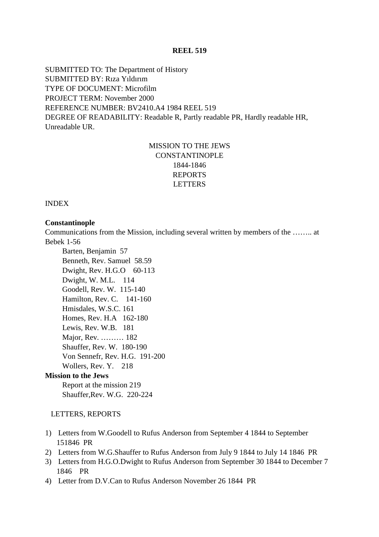SUBMITTED TO: The Department of History SUBMITTED BY: Rıza Yıldırım TYPE OF DOCUMENT: Microfilm PROJECT TERM: November 2000 REFERENCE NUMBER: BV2410.A4 1984 REEL 519 DEGREE OF READABILITY: Readable R, Partly readable PR, Hardly readable HR, Unreadable UR.

## MISSION TO THE JEWS CONSTANTINOPLE 1844-1846 REPORTS LETTERS

INDEX

#### **Constantinople**

Communications from the Mission, including several written by members of the …….. at Bebek 1-56

 Barten, Benjamin 57 Benneth, Rev. Samuel 58.59 Dwight, Rev. H.G.O 60-113 Dwight, W. M.L. 114 Goodell, Rev. W. 115-140 Hamilton, Rev. C. 141-160 Hmisdales, W.S.C. 161 Homes, Rev. H.A 162-180 Lewis, Rev. W.B. 181 Major, Rev. ……… 182 Shauffer, Rev. W. 180-190 Von Sennefr, Rev. H.G. 191-200 Wollers, Rev. Y. 218

## **Mission to the Jews**

 Report at the mission 219 Shauffer,Rev. W.G. 220-224

#### LETTERS, REPORTS

- 1) Letters from W.Goodell to Rufus Anderson from September 4 1844 to September 151846 PR
- 2) Letters from W.G.Shauffer to Rufus Anderson from July 9 1844 to July 14 1846 PR
- 3) Letters from H.G.O.Dwight to Rufus Anderson from September 30 1844 to December 7 1846 PR
- 4) Letter from D.V.Can to Rufus Anderson November 26 1844 PR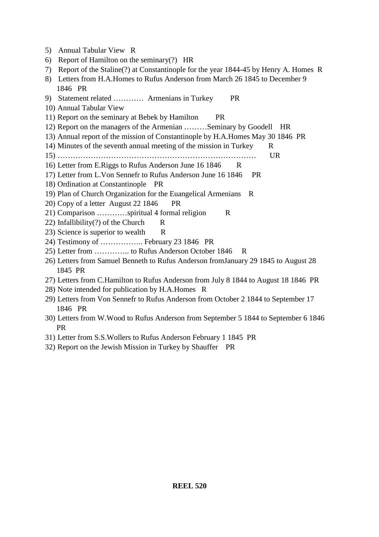- 5) Annual Tabular View R
- 6) Report of Hamilton on the seminary(?) HR
- 7) Report of the Staline(?) at Constantinople for the year 1844-45 by Henry A. Homes R
- 8) Letters from H.A.Homes to Rufus Anderson from March 26 1845 to December 9 1846 PR
- 9) Statement related ………… Armenians in Turkey PR
- 10) Annual Tabular View
- 11) Report on the seminary at Bebek by Hamilton PR
- 12) Report on the managers of the Armenian ………Seminary by Goodell HR
- 13) Annual report of the mission of Constantinople by H.A.Homes May 30 1846 PR
- 14) Minutes of the seventh annual meeting of the mission in Turkey R
- 15) …………………………………………………………………… UR
- 16) Letter from E.Riggs to Rufus Anderson June 16 1846 R
- 17) Letter from L.Von Sennefr to Rufus Anderson June 16 1846 PR
- 18) Ordination at Constantinople PR
- 19) Plan of Church Organization for the Euangelical Armenians R
- 20) Copy of a letter August 22 1846 PR
- 21) Comparison …………spiritual 4 formal religion R
- 22) Infallibility(?) of the Church R
- 23) Science is superior to wealth R
- 24) Testimony of …………….. February 23 1846 PR
- 25) Letter from ………….. to Rufus Anderson October 1846 R
- 26) Letters from Samuel Benneth to Rufus Anderson fromJanuary 29 1845 to August 28 1845 PR
- 27) Letters from C.Hamilton to Rufus Anderson from July 8 1844 to August 18 1846 PR
- 28) Note intended for publication by H.A.Homes R
- 29) Letters from Von Sennefr to Rufus Anderson from October 2 1844 to September 17 1846 PR
- 30) Letters from W.Wood to Rufus Anderson from September 5 1844 to September 6 1846 PR
- 31) Letter from S.S.Wollers to Rufus Anderson February 1 1845 PR
- 32) Report on the Jewish Mission in Turkey by Shauffer PR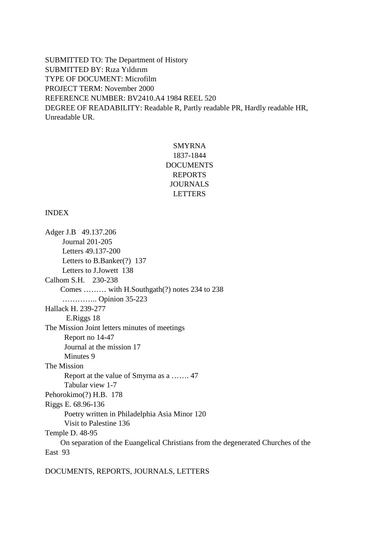SUBMITTED TO: The Department of History SUBMITTED BY: Rıza Yıldırım TYPE OF DOCUMENT: Microfilm PROJECT TERM: November 2000 REFERENCE NUMBER: BV2410.A4 1984 REEL 520 DEGREE OF READABILITY: Readable R, Partly readable PR, Hardly readable HR, Unreadable UR.

## SMYRNA 1837-1844 **DOCUMENTS** REPORTS JOURNALS LETTERS

## INDEX

Adger J.B 49.137.206 Journal 201-205 Letters 49.137-200 Letters to B.Banker(?) 137 Letters to J.Jowett 138 Calhom S.H. 230-238 Comes ……… with H.Southgath(?) notes 234 to 238 ………….. Opinion 35-223 Hallack H. 239-277 E.Riggs 18 The Mission Joint letters minutes of meetings Report no 14-47 Journal at the mission 17 Minutes 9 The Mission Report at the value of Smyrna as a ……. 47 Tabular view 1-7 Pehorokimo(?) H.B. 178 Riggs E. 68.96-136 Poetry written in Philadelphia Asia Minor 120 Visit to Palestine 136 Temple D. 48-95 On separation of the Euangelical Christians from the degenerated Churches of the East 93

DOCUMENTS, REPORTS, JOURNALS, LETTERS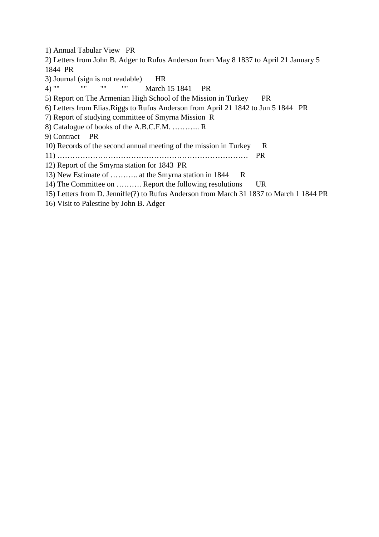1) Annual Tabular View PR 2) Letters from John B. Adger to Rufus Anderson from May 8 1837 to April 21 January 5 1844 PR 3) Journal (sign is not readable) HR 4) "" "" "" "" March 15 1841 PR 5) Report on The Armenian High School of the Mission in Turkey PR 6) Letters from Elias.Riggs to Rufus Anderson from April 21 1842 to Jun 5 1844 PR 7) Report of studying committee of Smyrna Mission R 8) Catalogue of books of the A.B.C.F.M. ……….. R 9) Contract PR 10) Records of the second annual meeting of the mission in Turkey R 11) ………………………………………………………………… PR 12) Report of the Smyrna station for 1843 PR 13) New Estimate of ........... at the Smyrna station in 1844 R 14) The Committee on ………. Report the following resolutions UR 15) Letters from D. Jennifle(?) to Rufus Anderson from March 31 1837 to March 1 1844 PR

16) Visit to Palestine by John B. Adger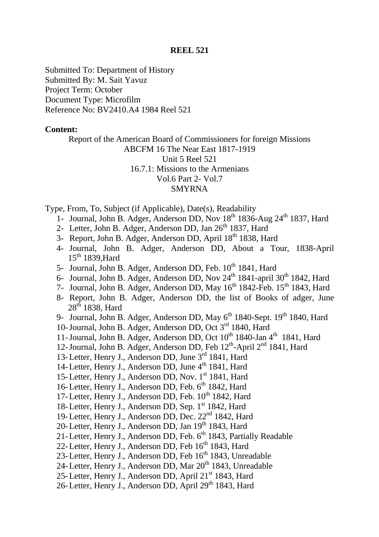Submitted To: Department of History Submitted By: M. Sait Yavuz Project Term: October Document Type: Microfilm Reference No: BV2410.A4 1984 Reel 521

## **Content:**

Report of the American Board of Commissioners for foreign Missions ABCFM 16 The Near East 1817-1919 Unit 5 Reel 521 16.7.1: Missions to the Armenians Vol.6 Part 2- Vol.7 SMYRNA

Type, From, To, Subject (if Applicable), Date(s), Readability

- 1- Journal, John B. Adger, Anderson DD, Nov 18<sup>th</sup> 1836-Aug 24<sup>th</sup> 1837, Hard
- 2- Letter, John B. Adger, Anderson DD, Jan 26<sup>th</sup> 1837, Hard
- 3- Report, John B. Adger, Anderson DD, April 18<sup>th</sup> 1838, Hard
- 4- Journal, John B. Adger, Anderson DD, About a Tour, 1838-April  $15<sup>th</sup> 1839$ . Hard
- 5- Journal, John B. Adger, Anderson DD, Feb. 10<sup>th</sup> 1841, Hard
- 6- Journal, John B. Adger, Anderson DD, Nov 24<sup>th</sup> 1841-april 30<sup>th</sup> 1842, Hard
- 7- Journal, John B. Adger, Anderson DD, May 16<sup>th</sup> 1842-Feb. 15<sup>th</sup> 1843, Hard
- 8- Report, John B. Adger, Anderson DD, the list of Books of adger, June  $28<sup>th</sup>$  1838, Hard
- 9- Journal, John B. Adger, Anderson DD, May 6<sup>th</sup> 1840-Sept. 19<sup>th</sup> 1840, Hard
- 10-Journal, John B. Adger, Anderson DD, Oct 3rd 1840, Hard
- 11-Journal, John B. Adger, Anderson DD, Oct 10<sup>th</sup> 1840-Jan 4<sup>th</sup> 1841, Hard
- 12-Journal, John B. Adger, Anderson DD, Feb  $12<sup>th</sup>$ -April  $2<sup>nd</sup>$  1841, Hard
- 13-Letter, Henry J., Anderson DD, June 3rd 1841, Hard
- 14-Letter, Henry J., Anderson DD, June 4<sup>th</sup> 1841, Hard
- 15-Letter, Henry J., Anderson DD, Nov. 1<sup>st</sup> 1841, Hard
- 16-Letter, Henry J., Anderson DD, Feb. 6<sup>th</sup> 1842, Hard
- 17-Letter, Henry J., Anderson DD, Feb. 10<sup>th</sup> 1842, Hard
- 18-Letter, Henry J., Anderson DD, Sep. 1<sup>st</sup> 1842, Hard
- 19-Letter, Henry J., Anderson DD, Dec. 22nd 1842, Hard
- 20-Letter, Henry J., Anderson DD, Jan 19<sup>th</sup> 1843, Hard
- 21-Letter, Henry J., Anderson DD, Feb. 6<sup>th</sup> 1843, Partially Readable
- 22-Letter, Henry J., Anderson DD, Feb 16<sup>th</sup> 1843, Hard
- 23-Letter, Henry J., Anderson DD, Feb 16<sup>th</sup> 1843, Unreadable
- 24-Letter, Henry J., Anderson DD, Mar 20<sup>th</sup> 1843, Unreadable
- 25-Letter, Henry J., Anderson DD, April 21<sup>st</sup> 1843, Hard
- 26-Letter, Henry J., Anderson DD, April 29<sup>th</sup> 1843, Hard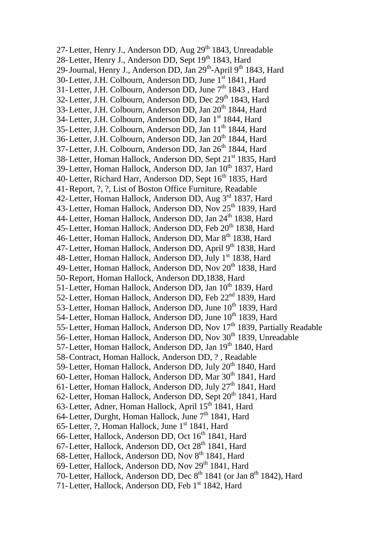27-Letter, Henry J., Anderson DD, Aug 29<sup>th</sup> 1843, Unreadable 28-Letter, Henry J., Anderson DD, Sept 19th 1843, Hard 29-Journal, Henry J., Anderson DD, Jan 29<sup>th</sup>-April 9<sup>th</sup> 1843, Hard 30-Letter, J.H. Colbourn, Anderson DD, June 1st 1841, Hard 31-Letter, J.H. Colbourn, Anderson DD, June 7<sup>th</sup> 1843, Hard 32-Letter, J.H. Colbourn, Anderson DD, Dec 29<sup>th</sup> 1843, Hard 33-Letter, J.H. Colbourn, Anderson DD, Jan 20<sup>th</sup> 1844, Hard 34-Letter, J.H. Colbourn, Anderson DD, Jan 1<sup>st</sup> 1844, Hard 35-Letter, J.H. Colbourn, Anderson DD, Jan 11<sup>th</sup> 1844, Hard 36-Letter, J.H. Colbourn, Anderson DD, Jan 20<sup>th</sup> 1844, Hard 37-Letter, J.H. Colbourn, Anderson DD, Jan 26<sup>th</sup> 1844, Hard 38-Letter, Homan Hallock, Anderson DD, Sept 21<sup>st</sup> 1835, Hard 39-Letter, Homan Hallock, Anderson DD, Jan 10<sup>th</sup> 1837, Hard 40-Letter, Richard Harr, Anderson DD, Sept 16<sup>th</sup> 1835, Hard 41-Report, ?, ?, List of Boston Office Furniture, Readable 42-Letter, Homan Hallock, Anderson DD, Aug 3rd 1837, Hard 43-Letter, Homan Hallock, Anderson DD, Nov 25<sup>th</sup> 1839, Hard 44-Letter, Homan Hallock, Anderson DD, Jan 24<sup>th</sup> 1838, Hard 45-Letter, Homan Hallock, Anderson DD, Feb 20<sup>th</sup> 1838, Hard 46-Letter, Homan Hallock, Anderson DD, Mar 8<sup>th</sup> 1838, Hard 47-Letter, Homan Hallock, Anderson DD, April 9<sup>th</sup> 1838, Hard 48-Letter, Homan Hallock, Anderson DD, July 1<sup>st</sup> 1838, Hard 49-Letter, Homan Hallock, Anderson DD, Nov 20<sup>th</sup> 1838, Hard 50-Report, Homan Hallock, Anderson DD,1838, Hard 51-Letter, Homan Hallock, Anderson DD, Jan 10<sup>th</sup> 1839, Hard 52-Letter, Homan Hallock, Anderson DD, Feb 22<sup>nd</sup> 1839, Hard 53-Letter, Homan Hallock, Anderson DD, June 10<sup>th</sup> 1839, Hard 54-Letter, Homan Hallock, Anderson DD, June 10<sup>th</sup> 1839, Hard 55-Letter, Homan Hallock, Anderson DD, Nov 17<sup>th</sup> 1839, Partially Readable 56-Letter, Homan Hallock, Anderson DD, Nov 30<sup>th</sup> 1839, Unreadable 57-Letter, Homan Hallock, Anderson DD, Jan 19<sup>th</sup> 1840. Hard 58-Contract, Homan Hallock, Anderson DD, ? , Readable 59-Letter, Homan Hallock, Anderson DD, July 20<sup>th</sup> 1840, Hard 60-Letter, Homan Hallock, Anderson DD, Mar 30<sup>th</sup> 1841, Hard 61-Letter, Homan Hallock, Anderson DD, July 27<sup>th</sup> 1841, Hard 62-Letter, Homan Hallock, Anderson DD, Sept 20<sup>th</sup> 1841, Hard 63-Letter, Adner, Homan Hallock, April 15<sup>th</sup> 1841, Hard 64-Letter, Durght, Homan Hallock, June  $7<sup>th</sup>$  1841, Hard 65-Letter, ?, Homan Hallock, June 1<sup>st</sup> 1841, Hard 66-Letter, Hallock, Anderson DD, Oct 16<sup>th</sup> 1841, Hard 67-Letter, Hallock, Anderson DD, Oct 28<sup>th</sup> 1841, Hard 68-Letter, Hallock, Anderson DD, Nov 8<sup>th</sup> 1841, Hard 69-Letter, Hallock, Anderson DD, Nov 29<sup>th</sup> 1841, Hard 70-Letter, Hallock, Anderson DD, Dec 8<sup>th</sup> 1841 (or Jan 8<sup>th</sup> 1842), Hard 71-Letter, Hallock, Anderson DD, Feb 1st 1842, Hard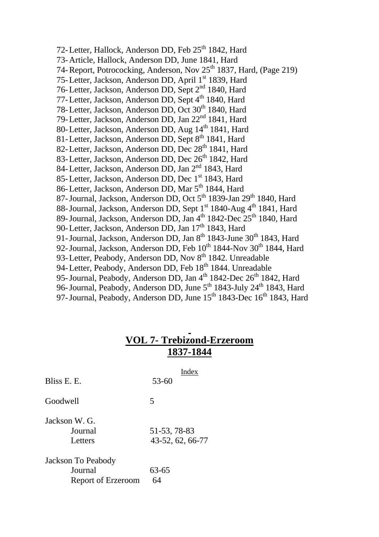72-Letter, Hallock, Anderson DD, Feb 25<sup>th</sup> 1842, Hard 73-Article, Hallock, Anderson DD, June 1841, Hard 74-Report, Potrococking, Anderson, Nov 25<sup>th</sup> 1837, Hard, (Page 219) 75-Letter, Jackson, Anderson DD, April 1<sup>st</sup> 1839, Hard 76-Letter, Jackson, Anderson DD, Sept 2nd 1840, Hard 77-Letter, Jackson, Anderson DD, Sept 4<sup>th</sup> 1840, Hard 78-Letter, Jackson, Anderson DD, Oct 30<sup>th</sup> 1840, Hard 79-Letter, Jackson, Anderson DD, Jan 22nd 1841, Hard 80-Letter, Jackson, Anderson DD, Aug 14<sup>th</sup> 1841, Hard 81-Letter, Jackson, Anderson DD, Sept 8<sup>th</sup> 1841, Hard 82-Letter, Jackson, Anderson DD, Dec 28<sup>th</sup> 1841, Hard 83-Letter, Jackson, Anderson DD, Dec 26<sup>th</sup> 1842, Hard 84-Letter, Jackson, Anderson DD, Jan 2<sup>nd</sup> 1843, Hard 85-Letter, Jackson, Anderson DD, Dec 1<sup>st</sup> 1843. Hard 86-Letter, Jackson, Anderson DD, Mar 5<sup>th</sup> 1844, Hard 87-Journal, Jackson, Anderson DD, Oct 5<sup>th</sup> 1839-Jan 29<sup>th</sup> 1840, Hard 88-Journal, Jackson, Anderson DD, Sept 1<sup>st</sup> 1840-Aug 4<sup>th</sup> 1841, Hard 89-Journal, Jackson, Anderson DD, Jan 4<sup>th</sup> 1842-Dec 25<sup>th</sup> 1840, Hard 90-Letter, Jackson, Anderson DD, Jan 17<sup>th</sup> 1843, Hard 91-Journal, Jackson, Anderson DD, Jan  $8<sup>th</sup>$  1843-June 30<sup>th</sup> 1843, Hard 92-Journal, Jackson, Anderson DD, Feb  $10^{th}$  1844-Nov 30<sup>th</sup> 1844, Hard 93-Letter, Peabody, Anderson DD, Nov 8<sup>th</sup> 1842. Unreadable 94-Letter, Peabody, Anderson DD, Feb 18<sup>th</sup> 1844. Unreadable 95-Journal, Peabody, Anderson DD, Jan 4<sup>th</sup> 1842-Dec 26<sup>th</sup> 1842, Hard 96-Journal, Peabody, Anderson DD, June 5<sup>th</sup> 1843-July 24<sup>th</sup> 1843, Hard 97-Journal, Peabody, Anderson DD, June 15<sup>th</sup> 1843-Dec 16<sup>th</sup> 1843, Hard

# **VOL 7- Trebizond-Erzeroom 1837-1844**

| Bliss E. E.                                         | Index<br>$53 - 60$               |
|-----------------------------------------------------|----------------------------------|
| Goodwell                                            | 5                                |
| Jackson W. G.<br>Journal<br>Letters                 | 51-53, 78-83<br>43-52, 62, 66-77 |
| Jackson To Peabody<br>Journal<br>Report of Erzeroom | 63-65<br>64                      |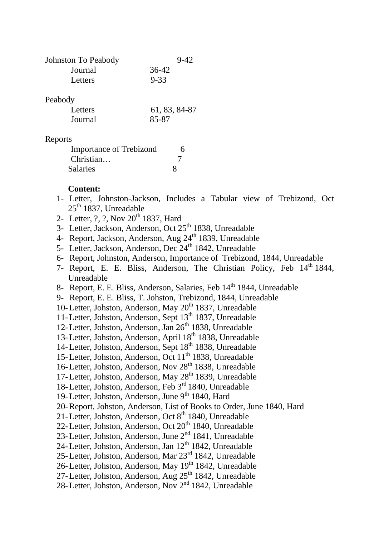| Johnston To Peabody | $9-42$   |
|---------------------|----------|
| Journal             | 36-42    |
| Letters             | $9 - 33$ |

## Peabody

| Letters | 61, 83, 84-87 |
|---------|---------------|
| Journal | 85-87         |

## Reports

| <b>Importance of Trebizond</b> |  |
|--------------------------------|--|
| Christian                      |  |
| <b>Salaries</b>                |  |

## **Content:**

- 1- Letter, Johnston-Jackson, Includes a Tabular view of Trebizond, Oct  $25<sup>th</sup> 1837$ , Unreadable
- 2- Letter, ?, ?, Nov 20<sup>th</sup> 1837, Hard
- 3- Letter, Jackson, Anderson, Oct 25<sup>th</sup> 1838, Unreadable
- 4- Report, Jackson, Anderson, Aug 24<sup>th</sup> 1839, Unreadable
- 5- Letter, Jackson, Anderson, Dec 24<sup>th</sup> 1842, Unreadable
- 6- Report, Johnston, Anderson, Importance of Trebizond, 1844, Unreadable
- 7- Report, E. E. Bliss, Anderson, The Christian Policy, Feb 14<sup>th</sup> 1844, Unreadable
- 8- Report, E. E. Bliss, Anderson, Salaries, Feb 14<sup>th</sup> 1844, Unreadable
- 9- Report, E. E. Bliss, T. Johston, Trebizond, 1844, Unreadable
- 10-Letter, Johston, Anderson, May 20<sup>th</sup> 1837, Unreadable
- 11-Letter, Johston, Anderson, Sept 13<sup>th</sup> 1837, Unreadable
- 12-Letter, Johston, Anderson, Jan 26<sup>th</sup> 1838, Unreadable
- 13-Letter, Johston, Anderson, April 18<sup>th</sup> 1838, Unreadable
- 14-Letter, Johston, Anderson, Sept 18<sup>th</sup> 1838, Unreadable
- 15-Letter, Johston, Anderson, Oct 11<sup>th</sup> 1838, Unreadable
- 16-Letter, Johston, Anderson, Nov 28<sup>th</sup> 1838, Unreadable
- 17-Letter, Johston, Anderson, May 28<sup>th</sup> 1839, Unreadable
- 18-Letter, Johston, Anderson, Feb 3rd 1840, Unreadable
- 19-Letter, Johston, Anderson, June  $9<sup>th</sup>$  1840, Hard
- 20-Report, Johston, Anderson, List of Books to Order, June 1840, Hard
- 21-Letter, Johston, Anderson, Oct 8<sup>th</sup> 1840, Unreadable
- 22-Letter, Johston, Anderson, Oct 20<sup>th</sup> 1840, Unreadable
- 23-Letter, Johston, Anderson, June 2<sup>nd</sup> 1841, Unreadable
- 24-Letter, Johston, Anderson, Jan  $12<sup>th</sup> 1842$ , Unreadable
- 25-Letter, Johston, Anderson, Mar 23rd 1842, Unreadable
- 26-Letter, Johston, Anderson, May 19<sup>th</sup> 1842, Unreadable
- 27-Letter, Johston, Anderson, Aug 25<sup>th</sup> 1842, Unreadable
- 28-Letter, Johston, Anderson, Nov 2nd 1842, Unreadable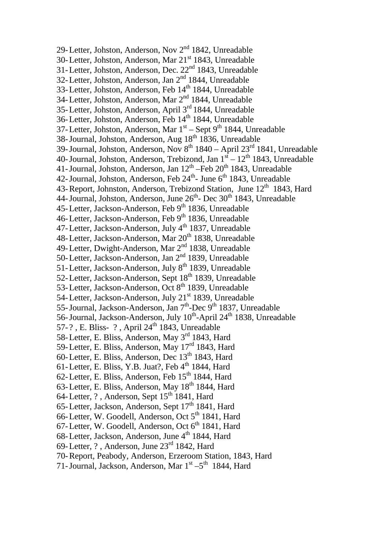29-Letter, Johston, Anderson, Nov 2<sup>nd</sup> 1842, Unreadable 30-Letter, Johston, Anderson, Mar 21<sup>st</sup> 1843, Unreadable 31-Letter, Johston, Anderson, Dec. 22<sup>nd</sup> 1843, Unreadable 32-Letter, Johston, Anderson, Jan 2<sup>nd</sup> 1844, Unreadable 33-Letter, Johston, Anderson, Feb 14<sup>th</sup> 1844, Unreadable 34-Letter, Johston, Anderson, Mar 2nd 1844, Unreadable 35-Letter, Johston, Anderson, April 3rd 1844, Unreadable 36-Letter, Johston, Anderson, Feb 14<sup>th</sup> 1844, Unreadable 37-Letter, Johston, Anderson, Mar  $1<sup>st</sup>$  – Sept 9<sup>th</sup> 1844, Unreadable 38-Journal, Johston, Anderson, Aug 18<sup>th</sup> 1836, Unreadable 39-Journal, Johston, Anderson, Nov  $8^{th}$  1840 – April 23<sup>rd</sup> 1841, Unreadable 40-Journal, Johston, Anderson, Trebizond, Jan  $1<sup>st</sup> - 12<sup>th</sup> 1843$ , Unreadable 41-Journal, Johston, Anderson, Jan  $12^{th}$  –Feb  $20^{th}$  1843, Unreadable 42-Journal, Johston, Anderson, Feb 24<sup>th</sup>- June 6<sup>th</sup> 1843, Unreadable 43-Report, Johnston, Anderson, Trebizond Station, June  $12<sup>th</sup>$  1843, Hard 44-Journal, Johston, Anderson, June  $26<sup>th</sup>$ - Dec  $30<sup>th</sup>$  1843, Unreadable 45-Letter, Jackson-Anderson, Feb 9th 1836, Unreadable 46-Letter, Jackson-Anderson, Feb 9<sup>th</sup> 1836, Unreadable 47-Letter, Jackson-Anderson, July 4<sup>th</sup> 1837, Unreadable 48-Letter, Jackson-Anderson, Mar  $20<sup>th</sup>$  1838, Unreadable 49-Letter, Dwight-Anderson, Mar 2<sup>nd</sup> 1838, Unreadable 50-Letter, Jackson-Anderson, Jan 2nd 1839, Unreadable 51-Letter, Jackson-Anderson, July 8<sup>th</sup> 1839, Unreadable 52-Letter, Jackson-Anderson, Sept 18<sup>th</sup> 1839, Unreadable 53-Letter, Jackson-Anderson, Oct 8<sup>th</sup> 1839, Unreadable 54-Letter, Jackson-Anderson, July 21<sup>st</sup> 1839, Unreadable 55-Journal, Jackson-Anderson, Jan 7<sup>th</sup>-Dec 9<sup>th</sup> 1837, Unreadable 56-Journal, Jackson-Anderson, July 10<sup>th</sup>-April 24<sup>th</sup> 1838, Unreadable 57-?, E. Bliss- ?, April 24<sup>th</sup> 1843, Unreadable 58-Letter, E. Bliss, Anderson, May 3<sup>rd</sup> 1843, Hard 59-Letter, E. Bliss, Anderson, May 17rd 1843, Hard 60-Letter, E. Bliss, Anderson, Dec 13<sup>th</sup> 1843, Hard 61-Letter, E. Bliss, Y.B. Juat?, Feb  $4<sup>th</sup>$  1844, Hard 62-Letter, E. Bliss, Anderson, Feb  $15<sup>th</sup> 1844$ , Hard 63-Letter, E. Bliss, Anderson, May 18<sup>th</sup> 1844, Hard 64-Letter, ?, Anderson, Sept 15<sup>th</sup> 1841, Hard 65-Letter, Jackson, Anderson, Sept  $17<sup>th</sup> 1841$ , Hard 66-Letter, W. Goodell, Anderson, Oct  $5<sup>th</sup>$  1841, Hard 67-Letter, W. Goodell, Anderson, Oct 6<sup>th</sup> 1841, Hard 68-Letter, Jackson, Anderson, June  $4<sup>th</sup>$  1844, Hard 69-Letter, ? , Anderson, June 23rd 1842, Hard 70-Report, Peabody, Anderson, Erzeroom Station, 1843, Hard 71-Journal, Jackson, Anderson, Mar  $1<sup>st</sup> - 5<sup>th</sup>$  1844, Hard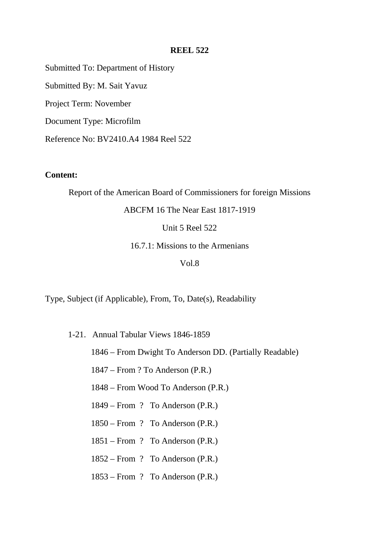Submitted To: Department of History

Submitted By: M. Sait Yavuz

Project Term: November

Document Type: Microfilm

Reference No: BV2410.A4 1984 Reel 522

## **Content:**

Report of the American Board of Commissioners for foreign Missions

## ABCFM 16 The Near East 1817-1919

Unit 5 Reel 522

16.7.1: Missions to the Armenians

## Vol.8

Type, Subject (if Applicable), From, To, Date(s), Readability

- 1-21. Annual Tabular Views 1846-1859
	- 1846 From Dwight To Anderson DD. (Partially Readable)
	- 1847 From ? To Anderson (P.R.)
	- 1848 From Wood To Anderson (P.R.)
	- 1849 From ? To Anderson (P.R.)
	- 1850 From ? To Anderson (P.R.)
	- 1851 From ? To Anderson (P.R.)
	- 1852 From ? To Anderson (P.R.)
	- 1853 From ? To Anderson (P.R.)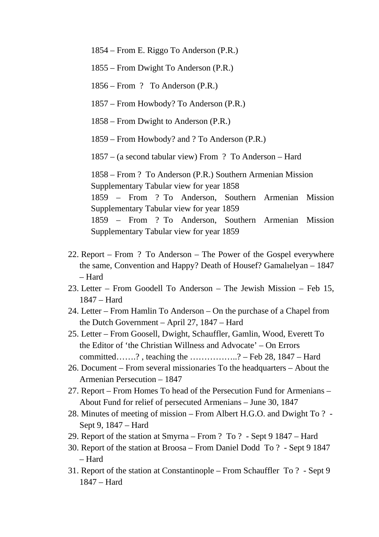1854 – From E. Riggo To Anderson (P.R.)

- 1855 From Dwight To Anderson (P.R.)
- 1856 From ? To Anderson (P.R.)
- 1857 From Howbody? To Anderson (P.R.)
- 1858 From Dwight to Anderson (P.R.)
- 1859 From Howbody? and ? To Anderson (P.R.)
- 1857 (a second tabular view) From ? To Anderson Hard

1858 – From ? To Anderson (P.R.) Southern Armenian Mission Supplementary Tabular view for year 1858 1859 – From ? To Anderson, Southern Armenian Mission Supplementary Tabular view for year 1859 1859 – From ? To Anderson, Southern Armenian Mission Supplementary Tabular view for year 1859

- 22. Report From ? To Anderson The Power of the Gospel everywhere the same, Convention and Happy? Death of Housef? Gamalıelyan – 1847 – Hard
- 23. Letter From Goodell To Anderson The Jewish Mission Feb 15, 1847 – Hard
- 24. Letter From Hamlin To Anderson On the purchase of a Chapel from the Dutch Government – April 27, 1847 – Hard
- 25. Letter From Goosell, Dwight, Schauffler, Gamlin, Wood, Everett To the Editor of 'the Christian Willness and Advocate' – On Errors committed…….?, teaching the  $\ldots$ ................? – Feb 28, 1847 – Hard
- 26. Document From several missionaries To the headquarters About the Armenian Persecution – 1847
- 27. Report From Homes To head of the Persecution Fund for Armenians About Fund for relief of persecuted Armenians – June 30, 1847
- 28. Minutes of meeting of mission From Albert H.G.O. and Dwight To ? Sept 9, 1847 – Hard
- 29. Report of the station at Smyrna From ? To ? Sept 9 1847 Hard
- 30. Report of the station at Broosa From Daniel Dodd To ? Sept 9 1847 – Hard
- 31. Report of the station at Constantinople From Schauffler To ? Sept 9 1847 – Hard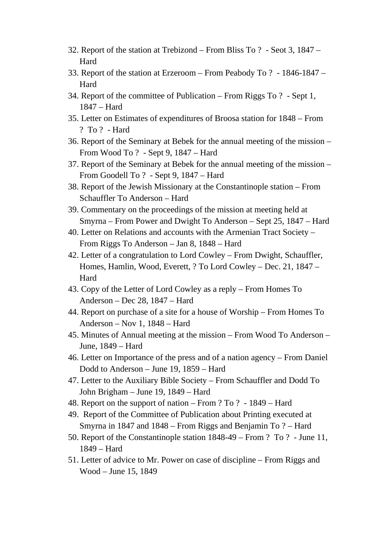- 32. Report of the station at Trebizond From Bliss To ? Seot 3, 1847 Hard
- 33. Report of the station at Erzeroom From Peabody To ? 1846-1847 Hard
- 34. Report of the committee of Publication From Riggs To ? Sept 1, 1847 – Hard
- 35. Letter on Estimates of expenditures of Broosa station for 1848 From ? To ? - Hard
- 36. Report of the Seminary at Bebek for the annual meeting of the mission From Wood To ? - Sept 9, 1847 – Hard
- 37. Report of the Seminary at Bebek for the annual meeting of the mission From Goodell To ? - Sept 9, 1847 – Hard
- 38. Report of the Jewish Missionary at the Constantinople station From Schauffler To Anderson – Hard
- 39. Commentary on the proceedings of the mission at meeting held at Smyrna – From Power and Dwight To Anderson – Sept 25, 1847 – Hard
- 40. Letter on Relations and accounts with the Armenian Tract Society From Riggs To Anderson – Jan 8, 1848 – Hard
- 42. Letter of a congratulation to Lord Cowley From Dwight, Schauffler, Homes, Hamlin, Wood, Everett, ? To Lord Cowley – Dec. 21, 1847 – Hard
- 43. Copy of the Letter of Lord Cowley as a reply From Homes To Anderson – Dec 28, 1847 – Hard
- 44. Report on purchase of a site for a house of Worship From Homes To Anderson – Nov 1, 1848 – Hard
- 45. Minutes of Annual meeting at the mission From Wood To Anderson June, 1849 – Hard
- 46. Letter on Importance of the press and of a nation agency From Daniel Dodd to Anderson – June 19, 1859 – Hard
- 47. Letter to the Auxiliary Bible Society From Schauffler and Dodd To John Brigham – June 19, 1849 – Hard
- 48. Report on the support of nation From ? To ? 1849 Hard
- 49. Report of the Committee of Publication about Printing executed at Smyrna in 1847 and 1848 – From Riggs and Benjamin To ? – Hard
- 50. Report of the Constantinople station 1848-49 From ? To ? June 11, 1849 – Hard
- 51. Letter of advice to Mr. Power on case of discipline From Riggs and Wood – June 15, 1849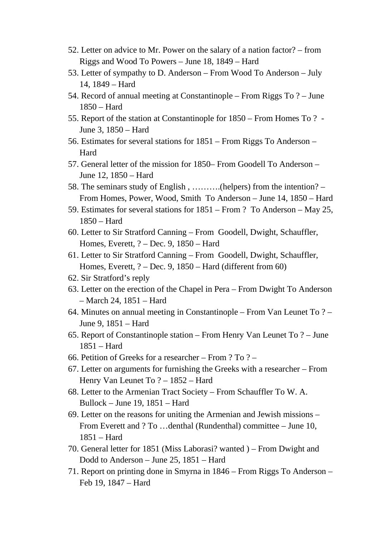- 52. Letter on advice to Mr. Power on the salary of a nation factor? from Riggs and Wood To Powers – June 18, 1849 – Hard
- 53. Letter of sympathy to D. Anderson From Wood To Anderson July 14, 1849 – Hard
- 54. Record of annual meeting at Constantinople From Riggs To ? June 1850 – Hard
- 55. Report of the station at Constantinople for 1850 From Homes To ? June 3, 1850 – Hard
- 56. Estimates for several stations for 1851 From Riggs To Anderson Hard
- 57. General letter of the mission for 1850– From Goodell To Anderson June 12, 1850 – Hard
- 58. The seminars study of English , ……….(helpers) from the intention? From Homes, Power, Wood, Smith To Anderson – June 14, 1850 – Hard
- 59. Estimates for several stations for 1851 From ? To Anderson May 25, 1850 – Hard
- 60. Letter to Sir Stratford Canning From Goodell, Dwight, Schauffler, Homes, Everett, ? – Dec. 9, 1850 – Hard
- 61. Letter to Sir Stratford Canning From Goodell, Dwight, Schauffler, Homes, Everett, ? – Dec. 9, 1850 – Hard (different from 60)
- 62. Sir Stratford's reply
- 63. Letter on the erection of the Chapel in Pera From Dwight To Anderson – March 24, 1851 – Hard
- 64. Minutes on annual meeting in Constantinople From Van Leunet To ? June 9, 1851 – Hard
- 65. Report of Constantinople station From Henry Van Leunet To ? June 1851 – Hard
- 66. Petition of Greeks for a researcher From ? To ? –
- 67. Letter on arguments for furnishing the Greeks with a researcher From Henry Van Leunet To ? – 1852 – Hard
- 68. Letter to the Armenian Tract Society From Schauffler To W. A. Bullock – June 19, 1851 – Hard
- 69. Letter on the reasons for uniting the Armenian and Jewish missions From Everett and ? To …denthal (Rundenthal) committee – June 10, 1851 – Hard
- 70. General letter for 1851 (Miss Laborasi? wanted ) From Dwight and Dodd to Anderson – June 25, 1851 – Hard
- 71. Report on printing done in Smyrna in 1846 From Riggs To Anderson Feb 19, 1847 – Hard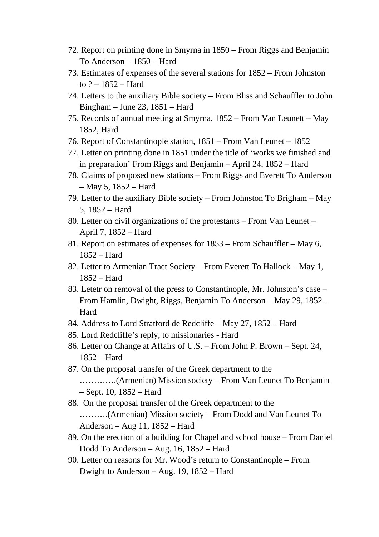- 72. Report on printing done in Smyrna in 1850 From Riggs and Benjamin To Anderson – 1850 – Hard
- 73. Estimates of expenses of the several stations for 1852 From Johnston to ? – 1852 – Hard
- 74. Letters to the auxiliary Bible society From Bliss and Schauffler to John Bingham – June 23, 1851 – Hard
- 75. Records of annual meeting at Smyrna, 1852 From Van Leunett May 1852, Hard
- 76. Report of Constantinople station, 1851 From Van Leunet 1852
- 77. Letter on printing done in 1851 under the title of 'works we finished and in preparation' From Riggs and Benjamin – April 24, 1852 – Hard
- 78. Claims of proposed new stations From Riggs and Everett To Anderson – May 5, 1852 – Hard
- 79. Letter to the auxiliary Bible society From Johnston To Brigham May 5, 1852 – Hard
- 80. Letter on civil organizations of the protestants From Van Leunet April 7, 1852 – Hard
- 81. Report on estimates of expenses for 1853 From Schauffler May 6, 1852 – Hard
- 82. Letter to Armenian Tract Society From Everett To Hallock May 1, 1852 – Hard
- 83. Letetr on removal of the press to Constantinople, Mr. Johnston's case From Hamlin, Dwight, Riggs, Benjamin To Anderson – May 29, 1852 – Hard
- 84. Address to Lord Stratford de Redcliffe May 27, 1852 Hard
- 85. Lord Redcliffe's reply, to missionaries Hard
- 86. Letter on Change at Affairs of U.S. From John P. Brown Sept. 24, 1852 – Hard
- 87. On the proposal transfer of the Greek department to the

```
………….(Armenian) Mission society – From Van Leunet To Benjamin
```

```
– Sept. 10, 1852 – Hard
```
- 88. On the proposal transfer of the Greek department to the ……….(Armenian) Mission society – From Dodd and Van Leunet To Anderson – Aug 11, 1852 – Hard
- 89. On the erection of a building for Chapel and school house From Daniel Dodd To Anderson – Aug. 16, 1852 – Hard
- 90. Letter on reasons for Mr. Wood's return to Constantinople From Dwight to Anderson – Aug. 19, 1852 – Hard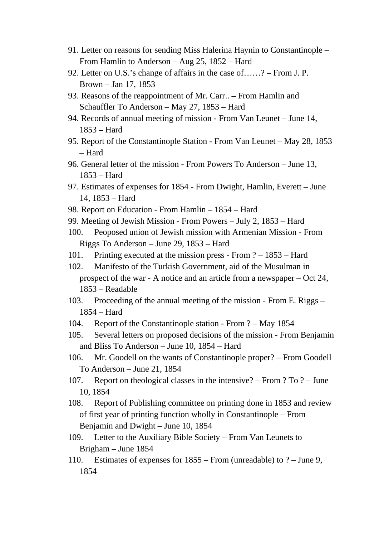- 91. Letter on reasons for sending Miss Halerina Haynin to Constantinople From Hamlin to Anderson – Aug 25, 1852 – Hard
- 92. Letter on U.S.'s change of affairs in the case of……? From J. P. Brown – Jan 17, 1853
- 93. Reasons of the reappointment of Mr. Carr.. From Hamlin and Schauffler To Anderson – May 27, 1853 – Hard
- 94. Records of annual meeting of mission From Van Leunet June 14, 1853 – Hard
- 95. Report of the Constantinople Station From Van Leunet May 28, 1853 – Hard
- 96. General letter of the mission From Powers To Anderson June 13, 1853 – Hard
- 97. Estimates of expenses for 1854 From Dwight, Hamlin, Everett June 14, 1853 – Hard
- 98. Report on Education From Hamlin 1854 Hard
- 99. Meeting of Jewish Mission From Powers July 2, 1853 Hard
- 100. Peoposed union of Jewish mission with Armenian Mission From Riggs To Anderson – June 29, 1853 – Hard
- 101. Printing executed at the mission press From ? 1853 Hard
- 102. Manifesto of the Turkish Government, aid of the Musulman in prospect of the war - A notice and an article from a newspaper – Oct 24, 1853 – Readable
- 103. Proceeding of the annual meeting of the mission From E. Riggs 1854 – Hard
- 104. Report of the Constantinople station From ? May 1854
- 105. Several letters on proposed decisions of the mission From Benjamin and Bliss To Anderson – June 10, 1854 – Hard
- 106. Mr. Goodell on the wants of Constantinople proper? From Goodell To Anderson – June 21, 1854
- 107. Report on theological classes in the intensive? From ? To ? June 10, 1854
- 108. Report of Publishing committee on printing done in 1853 and review of first year of printing function wholly in Constantinople – From Benjamin and Dwight – June 10, 1854
- 109. Letter to the Auxiliary Bible Society From Van Leunets to Brigham – June 1854
- 110. Estimates of expenses for 1855 From (unreadable) to ? June 9, 1854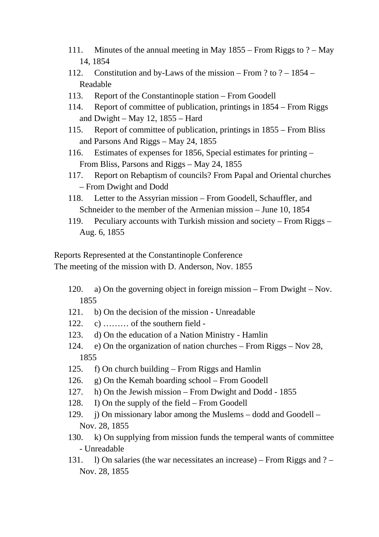- 111. Minutes of the annual meeting in May 1855 From Riggs to ? May 14, 1854
- 112. Constitution and by-Laws of the mission From ? to ? 1854 Readable
- 113. Report of the Constantinople station From Goodell
- 114. Report of committee of publication, printings in 1854 From Riggs and Dwight – May 12, 1855 – Hard
- 115. Report of committee of publication, printings in 1855 From Bliss and Parsons And Riggs – May 24, 1855
- 116. Estimates of expenses for 1856, Special estimates for printing From Bliss, Parsons and Riggs – May 24, 1855
- 117. Report on Rebaptism of councils? From Papal and Oriental churches – From Dwight and Dodd
- 118. Letter to the Assyrian mission From Goodell, Schauffler, and Schneider to the member of the Armenian mission – June 10, 1854
- 119. Peculiary accounts with Turkish mission and society From Riggs Aug. 6, 1855

Reports Represented at the Constantinople Conference The meeting of the mission with D. Anderson, Nov. 1855

- 120. a) On the governing object in foreign mission From Dwight Nov. 1855
- 121. b) On the decision of the mission Unreadable
- 122. c) ……… of the southern field -
- 123. d) On the education of a Nation Ministry Hamlin
- 124. e) On the organization of nation churches From Riggs Nov 28, 1855
- 125. f) On church building From Riggs and Hamlin
- 126. g) On the Kemah boarding school From Goodell
- 127. h) On the Jewish mission From Dwight and Dodd 1855
- 128. I) On the supply of the field From Goodell
- 129. j) On missionary labor among the Muslems dodd and Goodell Nov. 28, 1855
- 130. k) On supplying from mission funds the temperal wants of committee - Unreadable
- 131. l) On salaries (the war necessitates an increase) From Riggs and ? Nov. 28, 1855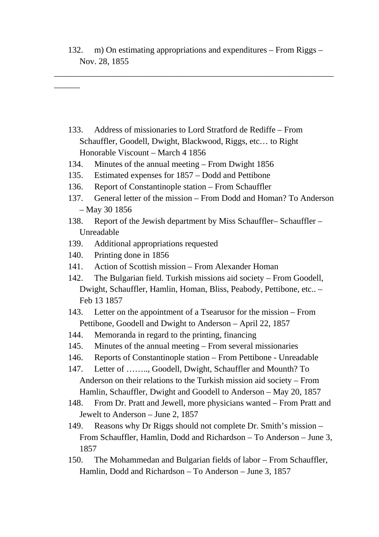132. m) On estimating appropriations and expenditures – From Riggs – Nov. 28, 1855

\_\_\_\_\_\_\_\_\_\_\_\_\_\_\_\_\_\_\_\_\_\_\_\_\_\_\_\_\_\_\_\_\_\_\_\_\_\_\_\_\_\_\_\_\_\_\_\_\_\_\_\_\_\_\_\_\_\_\_\_\_\_\_\_\_

- 133. Address of missionaries to Lord Stratford de Rediffe From Schauffler, Goodell, Dwight, Blackwood, Riggs, etc… to Right Honorable Viscount – March 4 1856
- 134. Minutes of the annual meeting From Dwight 1856
- 135. Estimated expenses for 1857 Dodd and Pettibone
- 136. Report of Constantinople station From Schauffler
- 137. General letter of the mission From Dodd and Homan? To Anderson – May 30 1856
- 138. Report of the Jewish department by Miss Schauffler– Schauffler Unreadable
- 139. Additional appropriations requested
- 140. Printing done in 1856

 $\overline{\phantom{a}}$ 

- 141. Action of Scottish mission From Alexander Homan
- 142. The Bulgarian field. Turkish missions aid society From Goodell, Dwight, Schauffler, Hamlin, Homan, Bliss, Peabody, Pettibone, etc.. – Feb 13 1857
- 143. Letter on the appointment of a Tsearusor for the mission From Pettibone, Goodell and Dwight to Anderson – April 22, 1857
- 144. Memoranda in regard to the printing, financing
- 145. Minutes of the annual meeting From several missionaries
- 146. Reports of Constantinople station From Pettibone Unreadable
- 147. Letter of …….., Goodell, Dwight, Schauffler and Mounth? To Anderson on their relations to the Turkish mission aid society – From Hamlin, Schauffler, Dwight and Goodell to Anderson – May 20, 1857
- 148. From Dr. Pratt and Jewell, more physicians wanted From Pratt and Jewelt to Anderson – June 2, 1857
- 149. Reasons why Dr Riggs should not complete Dr. Smith's mission From Schauffler, Hamlin, Dodd and Richardson – To Anderson – June 3, 1857
- 150. The Mohammedan and Bulgarian fields of labor From Schauffler, Hamlin, Dodd and Richardson – To Anderson – June 3, 1857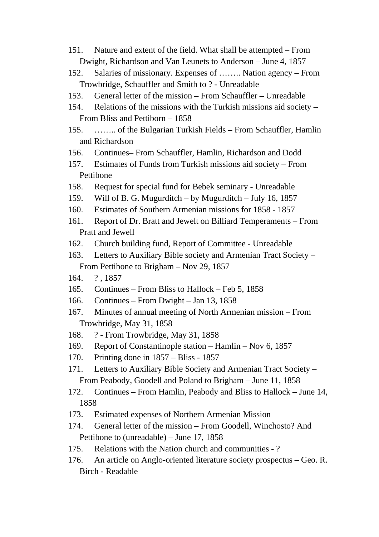- 151. Nature and extent of the field. What shall be attempted From Dwight, Richardson and Van Leunets to Anderson – June 4, 1857
- 152. Salaries of missionary. Expenses of …….. Nation agency From Trowbridge, Schauffler and Smith to ? - Unreadable
- 153. General letter of the mission From Schauffler Unreadable
- 154. Relations of the missions with the Turkish missions aid society From Bliss and Pettiborn – 1858
- 155. …….. of the Bulgarian Turkish Fields From Schauffler, Hamlin and Richardson
- 156. Continues– From Schauffler, Hamlin, Richardson and Dodd
- 157. Estimates of Funds from Turkish missions aid society From Pettibone
- 158. Request for special fund for Bebek seminary Unreadable
- 159. Will of B. G. Mugurditch by Mugurditch July 16, 1857
- 160. Estimates of Southern Armenian missions for 1858 1857
- 161. Report of Dr. Bratt and Jewelt on Billiard Temperaments From Pratt and Jewell
- 162. Church building fund, Report of Committee Unreadable
- 163. Letters to Auxiliary Bible society and Armenian Tract Society From Pettibone to Brigham – Nov 29, 1857
- 164. ? , 1857
- 165. Continues From Bliss to Hallock Feb 5, 1858
- 166. Continues From Dwight Jan 13, 1858
- 167. Minutes of annual meeting of North Armenian mission From Trowbridge, May 31, 1858
- 168. ? From Trowbridge, May 31, 1858
- 169. Report of Constantinople station Hamlin Nov 6, 1857
- 170. Printing done in 1857 Bliss 1857
- 171. Letters to Auxiliary Bible Society and Armenian Tract Society From Peabody, Goodell and Poland to Brigham – June 11, 1858
- 172. Continues From Hamlin, Peabody and Bliss to Hallock June 14, 1858
- 173. Estimated expenses of Northern Armenian Mission
- 174. General letter of the mission From Goodell, Winchosto? And Pettibone to (unreadable) – June 17, 1858
- 175. Relations with the Nation church and communities ?
- 176. An article on Anglo-oriented literature society prospectus Geo. R. Birch - Readable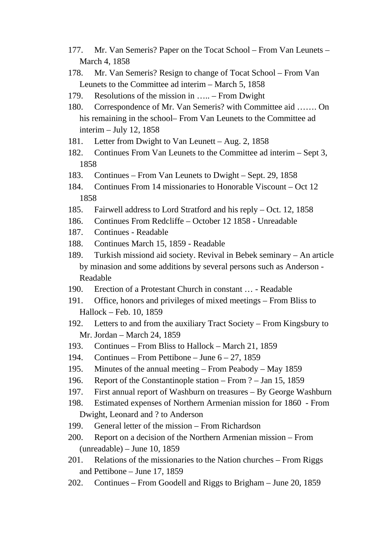- 177. Mr. Van Semeris? Paper on the Tocat School From Van Leunets March 4, 1858
- 178. Mr. Van Semeris? Resign to change of Tocat School From Van Leunets to the Committee ad interim – March 5, 1858
- 179. Resolutions of the mission in ….. From Dwight
- 180. Correspondence of Mr. Van Semeris? with Committee aid ……. On his remaining in the school– From Van Leunets to the Committee ad interim – July 12, 1858
- 181. Letter from Dwight to Van Leunett Aug. 2, 1858
- 182. Continues From Van Leunets to the Committee ad interim Sept 3, 1858
- 183. Continues From Van Leunets to Dwight Sept. 29, 1858
- 184. Continues From 14 missionaries to Honorable Viscount Oct 12 1858
- 185. Fairwell address to Lord Stratford and his reply Oct. 12, 1858
- 186. Continues From Redcliffe October 12 1858 Unreadable
- 187. Continues Readable
- 188. Continues March 15, 1859 Readable
- 189. Turkish missiond aid society. Revival in Bebek seminary An article by minasion and some additions by several persons such as Anderson - Readable
- 190. Erection of a Protestant Church in constant … Readable
- 191. Office, honors and privileges of mixed meetings From Bliss to Hallock – Feb. 10, 1859
- 192. Letters to and from the auxiliary Tract Society From Kingsbury to Mr. Jordan – March 24, 1859
- 193. Continues From Bliss to Hallock March 21, 1859
- 194. Continues From Pettibone June 6 27, 1859
- 195. Minutes of the annual meeting From Peabody May 1859
- 196. Report of the Constantinople station From ? Jan 15, 1859
- 197. First annual report of Washburn on treasures By George Washburn
- 198. Estimated expenses of Northern Armenian mission for 1860 From Dwight, Leonard and ? to Anderson
- 199. General letter of the mission From Richardson
- 200. Report on a decision of the Northern Armenian mission From (unreadable) – June 10, 1859
- 201. Relations of the missionaries to the Nation churches From Riggs and Pettibone – June 17, 1859
- 202. Continues From Goodell and Riggs to Brigham June 20, 1859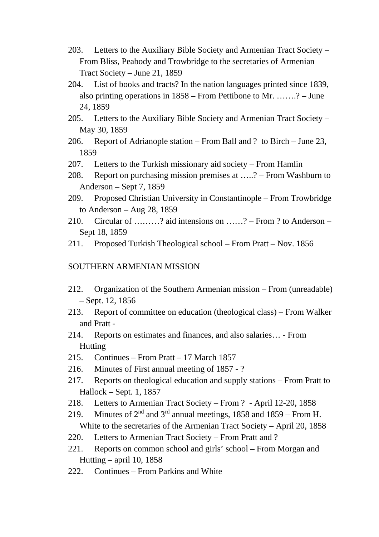- 203. Letters to the Auxiliary Bible Society and Armenian Tract Society From Bliss, Peabody and Trowbridge to the secretaries of Armenian Tract Society – June 21, 1859
- 204. List of books and tracts? In the nation languages printed since 1839, also printing operations in 1858 – From Pettibone to Mr. …….? – June 24, 1859
- 205. Letters to the Auxiliary Bible Society and Armenian Tract Society May 30, 1859
- 206. Report of Adrianople station From Ball and ? to Birch June 23, 1859
- 207. Letters to the Turkish missionary aid society From Hamlin
- 208. Report on purchasing mission premises at …..? From Washburn to Anderson – Sept 7, 1859
- 209. Proposed Christian University in Constantinople From Trowbridge to Anderson – Aug 28, 1859
- 210. Circular of ………? aid intensions on ……? From ? to Anderson Sept 18, 1859
- 211. Proposed Turkish Theological school From Pratt Nov. 1856

## SOUTHERN ARMENIAN MISSION

- 212. Organization of the Southern Armenian mission From (unreadable) – Sept. 12, 1856
- 213. Report of committee on education (theological class) From Walker and Pratt -
- 214. Reports on estimates and finances, and also salaries… From Hutting
- 215. Continues From Pratt 17 March 1857
- 216. Minutes of First annual meeting of 1857 ?
- 217. Reports on theological education and supply stations From Pratt to Hallock – Sept. 1, 1857
- 218. Letters to Armenian Tract Society From ? April 12-20, 1858
- 219. Minutes of  $2^{nd}$  and  $3^{rd}$  annual meetings, 1858 and 1859 From H. White to the secretaries of the Armenian Tract Society – April 20, 1858
- 220. Letters to Armenian Tract Society From Pratt and ?
- 221. Reports on common school and girls' school From Morgan and Hutting – april 10, 1858
- 222. Continues From Parkins and White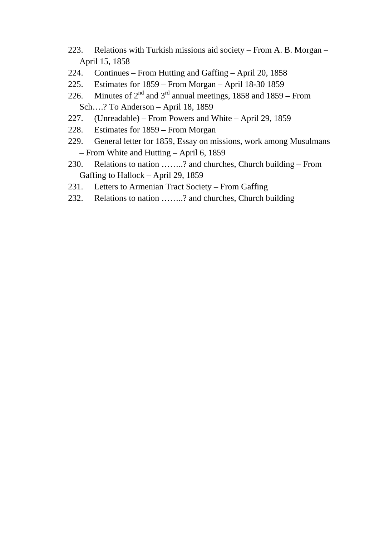- 223. Relations with Turkish missions aid society From A. B. Morgan April 15, 1858
- 224. Continues From Hutting and Gaffing April 20, 1858
- 225. Estimates for 1859 From Morgan April 18-30 1859
- 226. Minutes of  $2<sup>nd</sup>$  and  $3<sup>rd</sup>$  annual meetings, 1858 and 1859 From Sch….? To Anderson – April 18, 1859
- 227. (Unreadable) From Powers and White April 29, 1859
- 228. Estimates for 1859 From Morgan
- 229. General letter for 1859, Essay on missions, work among Musulmans – From White and Hutting – April 6, 1859
- 230. Relations to nation ……..? and churches, Church building From Gaffing to Hallock – April 29, 1859
- 231. Letters to Armenian Tract Society From Gaffing
- 232. Relations to nation ……..? and churches, Church building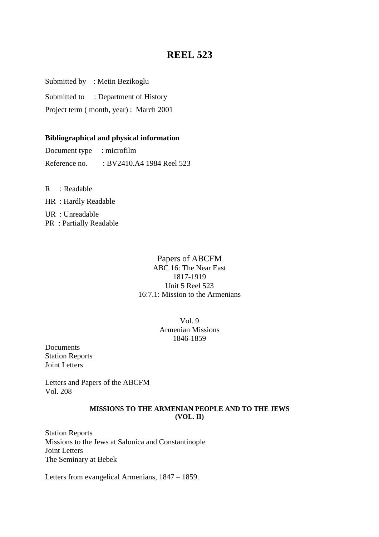Submitted by : Metin Bezikoglu

Submitted to : Department of History

Project term ( month, year) : March 2001

## **Bibliographical and physical information**

Document type : microfilm Reference no. : BV2410.A4 1984 Reel 523

R : Readable HR : Hardly Readable UR : Unreadable

PR : Partially Readable

## Papers of ABCFM ABC 16: The Near East 1817-1919 Unit 5 Reel 523 16:7.1: Mission to the Armenians

Vol. 9 Armenian Missions 1846-1859

Documents Station Reports Joint Letters

Letters and Papers of the ABCFM Vol. 208

### **MISSIONS TO THE ARMENIAN PEOPLE AND TO THE JEWS (VOL. II)**

Station Reports Missions to the Jews at Salonica and Constantinople Joint Letters The Seminary at Bebek

Letters from evangelical Armenians, 1847 – 1859.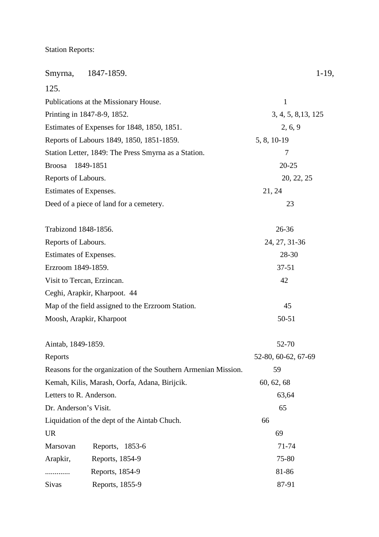Station Reports:

| Smyrna,                 | 1847-1859.                                                     | $1-19,$             |
|-------------------------|----------------------------------------------------------------|---------------------|
| 125.                    |                                                                |                     |
|                         | Publications at the Missionary House.                          | $\mathbf{1}$        |
|                         | Printing in 1847-8-9, 1852.                                    | 3, 4, 5, 8, 13, 125 |
|                         | Estimates of Expenses for 1848, 1850, 1851.                    | 2, 6, 9             |
|                         | Reports of Labours 1849, 1850, 1851-1859.                      | 5, 8, 10-19         |
|                         | Station Letter, 1849: The Press Smyrna as a Station.           | 7                   |
| <b>Broosa</b>           | 1849-1851                                                      | $20 - 25$           |
| Reports of Labours.     |                                                                | 20, 22, 25          |
| Estimates of Expenses.  |                                                                | 21, 24              |
|                         | Deed of a piece of land for a cemetery.                        | 23                  |
| Trabizond 1848-1856.    |                                                                | 26-36               |
| Reports of Labours.     |                                                                | 24, 27, 31-36       |
| Estimates of Expenses.  |                                                                | 28-30               |
| Erzroom 1849-1859.      |                                                                | $37 - 51$           |
|                         | Visit to Tercan, Erzincan.                                     | 42                  |
|                         | Ceghi, Arapkir, Kharpoot. 44                                   |                     |
|                         | Map of the field assigned to the Erzroom Station.              | 45                  |
|                         | Moosh, Arapkir, Kharpoot                                       | 50-51               |
| Aintab, 1849-1859.      |                                                                | 52-70               |
| Reports                 |                                                                | 52-80, 60-62, 67-69 |
|                         | Reasons for the organization of the Southern Armenian Mission. | 59                  |
|                         | Kemah, Kilis, Marash, Oorfa, Adana, Birijcik.                  | 60, 62, 68          |
| Letters to R. Anderson. |                                                                | 63,64               |
| Dr. Anderson's Visit.   |                                                                | 65                  |
|                         | Liquidation of the dept of the Aintab Chuch.                   | 66                  |
| <b>UR</b>               |                                                                | 69                  |
| Marsovan                | Reports, 1853-6                                                | 71-74               |
| Arapkir,                | Reports, 1854-9                                                | 75-80               |
|                         | Reports, 1854-9                                                | 81-86               |
| <b>Sivas</b>            | Reports, 1855-9                                                | 87-91               |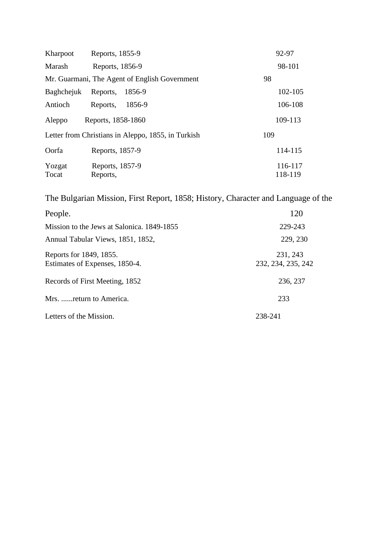| Kharpoot   | Reports, 1855-9                                    | 92-97   |
|------------|----------------------------------------------------|---------|
| Marash     | Reports, 1856-9                                    | 98-101  |
|            | Mr. Guarmani, The Agent of English Government      | 98      |
| Baghchejuk | Reports,<br>1856-9                                 | 102-105 |
| Antioch    | 1856-9<br>Reports,                                 | 106-108 |
| Aleppo     | Reports, 1858-1860                                 | 109-113 |
|            | Letter from Christians in Aleppo, 1855, in Turkish | 109     |
| Oorfa      | Reports, 1857-9                                    | 114-115 |
| Yozgat     | Reports, 1857-9                                    | 116-117 |
| Tocat      | Reports,                                           | 118-119 |

The Bulgarian Mission, First Report, 1858; History, Character and Language of the

| People.                                                   | 120                            |
|-----------------------------------------------------------|--------------------------------|
| Mission to the Jews at Salonica, 1849-1855                | 229-243                        |
| Annual Tabular Views, 1851, 1852,                         | 229, 230                       |
| Reports for 1849, 1855.<br>Estimates of Expenses, 1850-4. | 231, 243<br>232, 234, 235, 242 |
| Records of First Meeting, 1852                            | 236, 237                       |
| Mrs.  return to America.                                  | 233                            |
| Letters of the Mission.                                   | 238-241                        |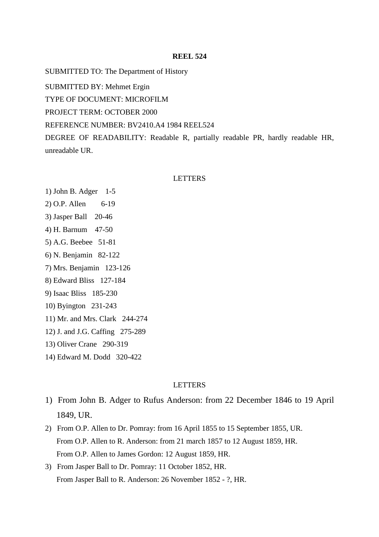SUBMITTED TO: The Department of History

SUBMITTED BY: Mehmet Ergin

TYPE OF DOCUMENT: MICROFILM

PROJECT TERM: OCTOBER 2000

#### REFERENCE NUMBER: BV2410.A4 1984 REEL524

DEGREE OF READABILITY: Readable R, partially readable PR, hardly readable HR, unreadable UR.

#### LETTERS

- 1) John B. Adger 1-5
- 2) O.P. Allen 6-19
- 3) Jasper Ball 20-46
- 4) H. Barnum 47-50
- 5) A.G. Beebee 51-81
- 6) N. Benjamin 82-122
- 7) Mrs. Benjamin 123-126
- 8) Edward Bliss 127-184
- 9) Isaac Bliss 185-230
- 10) Byington 231-243
- 11) Mr. and Mrs. Clark 244-274
- 12) J. and J.G. Caffing 275-289
- 13) Oliver Crane 290-319
- 14) Edward M. Dodd 320-422

#### **LETTERS**

- 1) From John B. Adger to Rufus Anderson: from 22 December 1846 to 19 April 1849, UR.
- 2) From O.P. Allen to Dr. Pomray: from 16 April 1855 to 15 September 1855, UR. From O.P. Allen to R. Anderson: from 21 march 1857 to 12 August 1859, HR. From O.P. Allen to James Gordon: 12 August 1859, HR.
- 3) From Jasper Ball to Dr. Pomray: 11 October 1852, HR. From Jasper Ball to R. Anderson: 26 November 1852 - ?, HR.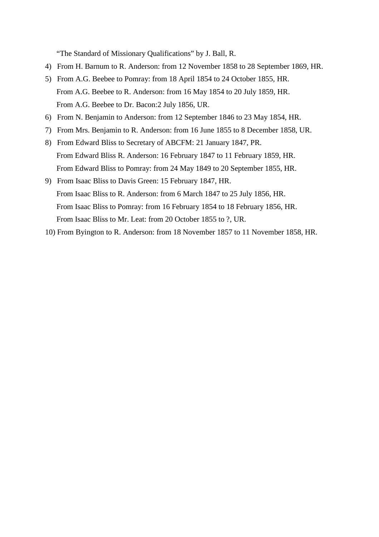"The Standard of Missionary Qualifications" by J. Ball, R.

- 4) From H. Barnum to R. Anderson: from 12 November 1858 to 28 September 1869, HR.
- 5) From A.G. Beebee to Pomray: from 18 April 1854 to 24 October 1855, HR. From A.G. Beebee to R. Anderson: from 16 May 1854 to 20 July 1859, HR. From A.G. Beebee to Dr. Bacon:2 July 1856, UR.
- 6) From N. Benjamin to Anderson: from 12 September 1846 to 23 May 1854, HR.
- 7) From Mrs. Benjamin to R. Anderson: from 16 June 1855 to 8 December 1858, UR.
- 8) From Edward Bliss to Secretary of ABCFM: 21 January 1847, PR. From Edward Bliss R. Anderson: 16 February 1847 to 11 February 1859, HR. From Edward Bliss to Pomray: from 24 May 1849 to 20 September 1855, HR.
- 9) From Isaac Bliss to Davis Green: 15 February 1847, HR. From Isaac Bliss to R. Anderson: from 6 March 1847 to 25 July 1856, HR. From Isaac Bliss to Pomray: from 16 February 1854 to 18 February 1856, HR. From Isaac Bliss to Mr. Leat: from 20 October 1855 to ?, UR.
- 10) From Byington to R. Anderson: from 18 November 1857 to 11 November 1858, HR.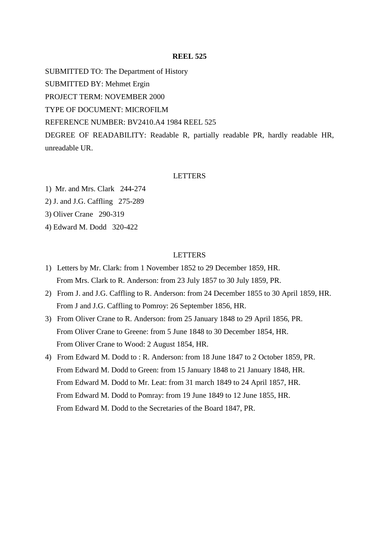SUBMITTED TO: The Department of History SUBMITTED BY: Mehmet Ergin PROJECT TERM: NOVEMBER 2000 TYPE OF DOCUMENT: MICROFILM REFERENCE NUMBER: BV2410.A4 1984 REEL 525 DEGREE OF READABILITY: Readable R, partially readable PR, hardly readable HR,

unreadable UR.

#### LETTERS

1) Mr. and Mrs. Clark 244-274

2) J. and J.G. Caffling 275-289

3) Oliver Crane 290-319

4) Edward M. Dodd 320-422

#### LETTERS

- 1) Letters by Mr. Clark: from 1 November 1852 to 29 December 1859, HR. From Mrs. Clark to R. Anderson: from 23 July 1857 to 30 July 1859, PR.
- 2) From J. and J.G. Caffling to R. Anderson: from 24 December 1855 to 30 April 1859, HR. From J and J.G. Caffling to Pomroy: 26 September 1856, HR.
- 3) From Oliver Crane to R. Anderson: from 25 January 1848 to 29 April 1856, PR. From Oliver Crane to Greene: from 5 June 1848 to 30 December 1854, HR. From Oliver Crane to Wood: 2 August 1854, HR.
- 4) From Edward M. Dodd to : R. Anderson: from 18 June 1847 to 2 October 1859, PR. From Edward M. Dodd to Green: from 15 January 1848 to 21 January 1848, HR. From Edward M. Dodd to Mr. Leat: from 31 march 1849 to 24 April 1857, HR. From Edward M. Dodd to Pomray: from 19 June 1849 to 12 June 1855, HR. From Edward M. Dodd to the Secretaries of the Board 1847, PR.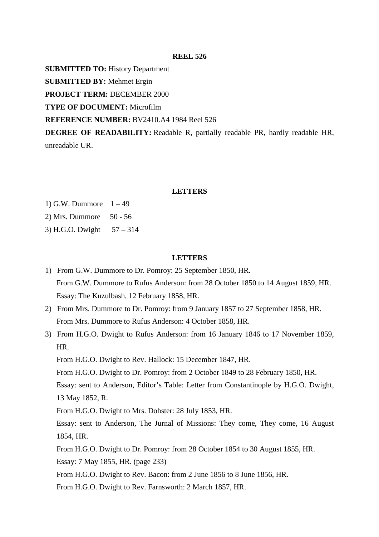**SUBMITTED TO:** History Department

**SUBMITTED BY:** Mehmet Ergin

**PROJECT TERM: DECEMBER 2000** 

**TYPE OF DOCUMENT:** Microfilm

**REFERENCE NUMBER:** BV2410.A4 1984 Reel 526

**DEGREE OF READABILITY:** Readable R, partially readable PR, hardly readable HR, unreadable UR.

#### **LETTERS**

1) G.W. Dummore  $1 - 49$ 2) Mrs. Dummore 50 - 56

3) H.G.O. Dwight  $57 - 314$ 

#### **LETTERS**

- 1) From G.W. Dummore to Dr. Pomroy: 25 September 1850, HR. From G.W. Dummore to Rufus Anderson: from 28 October 1850 to 14 August 1859, HR. Essay: The Kuzulbash, 12 February 1858, HR.
- 2) From Mrs. Dummore to Dr. Pomroy: from 9 January 1857 to 27 September 1858, HR. From Mrs. Dummore to Rufus Anderson: 4 October 1858, HR.
- 3) From H.G.O. Dwight to Rufus Anderson: from 16 January 1846 to 17 November 1859, HR.

From H.G.O. Dwight to Rev. Hallock: 15 December 1847, HR.

From H.G.O. Dwight to Dr. Pomroy: from 2 October 1849 to 28 February 1850, HR.

Essay: sent to Anderson, Editor's Table: Letter from Constantinople by H.G.O. Dwight, 13 May 1852, R.

From H.G.O. Dwight to Mrs. Dohster: 28 July 1853, HR.

Essay: sent to Anderson, The Jurnal of Missions: They come, They come, 16 August 1854, HR.

From H.G.O. Dwight to Dr. Pomroy: from 28 October 1854 to 30 August 1855, HR.

Essay: 7 May 1855, HR. (page 233)

From H.G.O. Dwight to Rev. Bacon: from 2 June 1856 to 8 June 1856, HR.

From H.G.O. Dwight to Rev. Farnsworth: 2 March 1857, HR.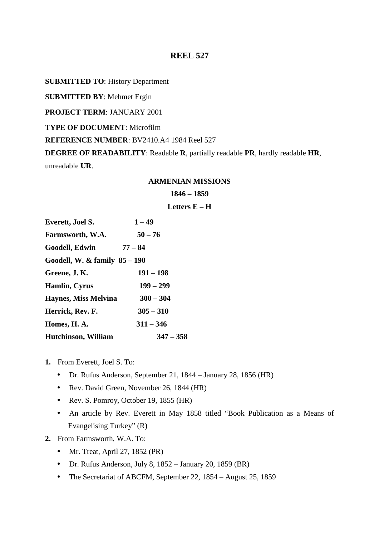**SUBMITTED TO**: History Department

**SUBMITTED BY**: Mehmet Ergin

**PROJECT TERM**: JANUARY 2001

**TYPE OF DOCUMENT**: Microfilm

**REFERENCE NUMBER**: BV2410.A4 1984 Reel 527

**DEGREE OF READABILITY**: Readable **R**, partially readable **PR**, hardly readable **HR**, unreadable **UR**.

#### **ARMENIAN MISSIONS**

### **1846 – 1859**

## **Letters E – H**

| <b>Everett, Joel S.</b>         | $1 - 49$    |
|---------------------------------|-------------|
| Farmsworth, W.A.                | $50 - 76$   |
| Goodell, Edwin                  | $77 - 84$   |
| Goodell, W. & family $85 - 190$ |             |
| Greene, J.K.                    | $191 - 198$ |
| Hamlin, Cyrus                   | $199 - 299$ |
| <b>Haynes, Miss Melvina</b>     | $300 - 304$ |
| Herrick, Rev. F.                | $305 - 310$ |
| Homes, H.A.                     | $311 - 346$ |
| <b>Hutchinson, William</b>      | $347 - 358$ |

- **1.** From Everett, Joel S. To:
	- Dr. Rufus Anderson, September 21, 1844 January 28, 1856 (HR)
	- Rev. David Green, November 26, 1844 (HR)
	- Rev. S. Pomroy, October 19, 1855 (HR)
	- An article by Rev. Everett in May 1858 titled "Book Publication as a Means of Evangelising Turkey" (R)
- **2.** From Farmsworth, W.A. To:
	- Mr. Treat, April 27, 1852 (PR)
	- Dr. Rufus Anderson, July 8, 1852 January 20, 1859 (BR)
	- The Secretariat of ABCFM, September 22, 1854 August 25, 1859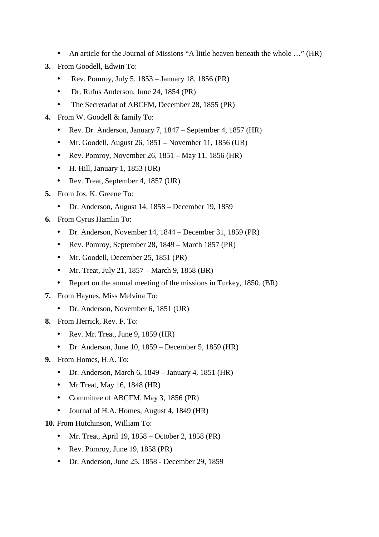- An article for the Journal of Missions "A little heaven beneath the whole ..." (HR)
- **3.** From Goodell, Edwin To:
	- Rev. Pomroy, July 5, 1853 January 18, 1856 (PR)
	- Dr. Rufus Anderson, June 24, 1854 (PR)
	- The Secretariat of ABCFM, December 28, 1855 (PR)
- **4.** From W. Goodell & family To:
	- Rev. Dr. Anderson, January 7, 1847 September 4, 1857 (HR)
	- Mr. Goodell, August 26,  $1851$  November 11,  $1856$  (UR)
	- Rev. Pomroy, November 26,  $1851 May 11$ ,  $1856$  (HR)
	- $\bullet$  H. Hill, January 1, 1853 (UR)
	- Rev. Treat, September 4, 1857 (UR)
- **5.** From Jos. K. Greene To:
	- Dr. Anderson, August 14, 1858 December 19, 1859
- **6.** From Cyrus Hamlin To:
	- Dr. Anderson, November 14, 1844 December 31, 1859 (PR)
	- Rev. Pomroy, September 28, 1849 March 1857 (PR)
	- Mr. Goodell, December 25, 1851 (PR)
	- Mr. Treat, July 21,  $1857 March 9$ ,  $1858 (BR)$
	- Report on the annual meeting of the missions in Turkey, 1850. (BR)
- **7.** From Haynes, Miss Melvina To:
	- Dr. Anderson, November 6, 1851 (UR)
- **8.** From Herrick, Rev. F. To:
	- Rev. Mr. Treat, June 9, 1859 (HR)
	- Dr. Anderson, June 10,  $1859 -$  December 5, 1859 (HR)
- **9.** From Homes, H.A. To:
	- Dr. Anderson, March 6, 1849 January 4, 1851 (HR)
	- Mr Treat, May 16, 1848 (HR)
	- Committee of ABCFM, May 3, 1856 (PR)
	- Journal of H.A. Homes, August 4, 1849 (HR)

**10.** From Hutchinson, William To:

- Mr. Treat, April 19,  $1858 -$ October 2,  $1858$  (PR)
- Rev. Pomroy, June 19, 1858 (PR)
- Dr. Anderson, June 25, 1858 December 29, 1859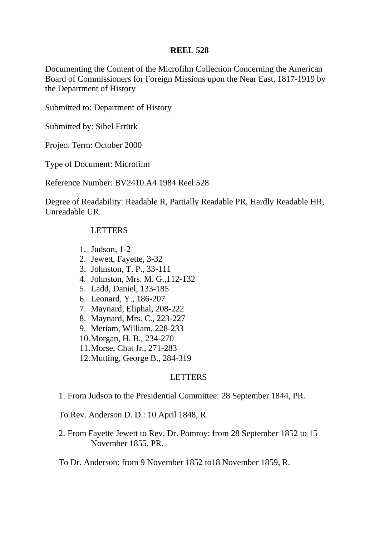Documenting the Content of the Microfilm Collection Concerning the American Board of Commissioners for Foreign Missions upon the Near East, 1817-1919 by the Department of History

Submitted to: Department of History

Submitted by: Sibel Ertürk

Project Term: October 2000

Type of Document: Microfilm

Reference Number: BV2410.A4 1984 Reel 528

Degree of Readability: Readable R, Partially Readable PR, Hardly Readable HR, Unreadable UR.

## LETTERS

- 1. Judson, 1-2
- 2. Jewett, Fayette, 3-32
- 3. Johnston, T. P., 33-111
- 4. Johnston, Mrs. M. G.,112-132
- 5. Ladd, Daniel, 133-185
- 6. Leonard, Y., 186-207
- 7. Maynard, Eliphal, 208-222
- 8. Maynard, Mrs. C., 223-227
- 9. Meriam, William, 228-233
- 10.Morgan, H. B., 234-270
- 11.Morse, Chat Jr., 271-283
- 12.Mutting, George B., 284-319

## LETTERS

1. From Judson to the Presidential Committee: 28 September 1844, PR.

To Rev. Anderson D. D.: 10 April 1848, R.

2. From Fayette Jewett to Rev. Dr. Pomroy: from 28 September 1852 to 15 November 1855, PR.

To Dr. Anderson: from 9 November 1852 to18 November 1859, R.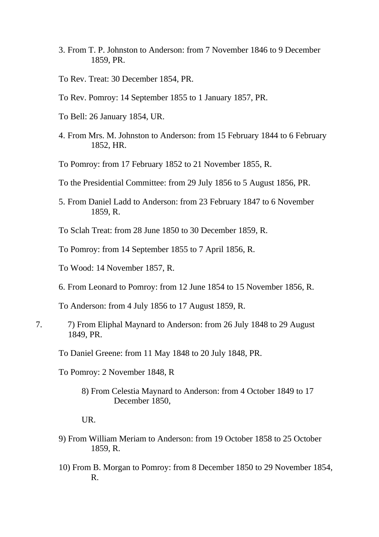- 3. From T. P. Johnston to Anderson: from 7 November 1846 to 9 December 1859, PR.
- To Rev. Treat: 30 December 1854, PR.
- To Rev. Pomroy: 14 September 1855 to 1 January 1857, PR.
- To Bell: 26 January 1854, UR.
- 4. From Mrs. M. Johnston to Anderson: from 15 February 1844 to 6 February 1852, HR.
- To Pomroy: from 17 February 1852 to 21 November 1855, R.
- To the Presidential Committee: from 29 July 1856 to 5 August 1856, PR.
- 5. From Daniel Ladd to Anderson: from 23 February 1847 to 6 November 1859, R.
- To Sclah Treat: from 28 June 1850 to 30 December 1859, R.
- To Pomroy: from 14 September 1855 to 7 April 1856, R.
- To Wood: 14 November 1857, R.
- 6. From Leonard to Pomroy: from 12 June 1854 to 15 November 1856, R.

To Anderson: from 4 July 1856 to 17 August 1859, R.

- 7. 7) From Eliphal Maynard to Anderson: from 26 July 1848 to 29 August 1849, PR.
	- To Daniel Greene: from 11 May 1848 to 20 July 1848, PR.

To Pomroy: 2 November 1848, R

8) From Celestia Maynard to Anderson: from 4 October 1849 to 17 December 1850,

## UR.

- 9) From William Meriam to Anderson: from 19 October 1858 to 25 October 1859, R.
- 10) From B. Morgan to Pomroy: from 8 December 1850 to 29 November 1854, R.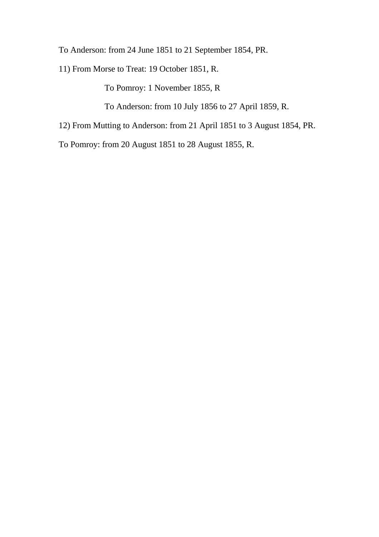To Anderson: from 24 June 1851 to 21 September 1854, PR.

11) From Morse to Treat: 19 October 1851, R.

To Pomroy: 1 November 1855, R

To Anderson: from 10 July 1856 to 27 April 1859, R.

12) From Mutting to Anderson: from 21 April 1851 to 3 August 1854, PR.

To Pomroy: from 20 August 1851 to 28 August 1855, R.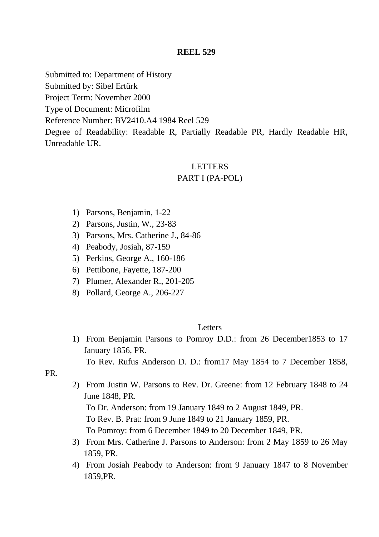Submitted to: Department of History

Submitted by: Sibel Ertürk

Project Term: November 2000

Type of Document: Microfilm

Reference Number: BV2410.A4 1984 Reel 529

Degree of Readability: Readable R, Partially Readable PR, Hardly Readable HR, Unreadable UR.

## LETTERS

## PART I (PA-POL)

- 1) Parsons, Benjamin, 1-22
- 2) Parsons, Justin, W., 23-83
- 3) Parsons, Mrs. Catherine J., 84-86
- 4) Peabody, Josiah, 87-159
- 5) Perkins, George A., 160-186
- 6) Pettibone, Fayette, 187-200
- 7) Plumer, Alexander R., 201-205
- 8) Pollard, George A., 206-227

### **Letters**

1) From Benjamin Parsons to Pomroy D.D.: from 26 December1853 to 17 January 1856, PR.

To Rev. Rufus Anderson D. D.: from17 May 1854 to 7 December 1858,

PR.

2) From Justin W. Parsons to Rev. Dr. Greene: from 12 February 1848 to 24 June 1848, PR.

To Dr. Anderson: from 19 January 1849 to 2 August 1849, PR.

To Rev. B. Prat: from 9 June 1849 to 21 January 1859, PR.

To Pomroy: from 6 December 1849 to 20 December 1849, PR.

- 3) From Mrs. Catherine J. Parsons to Anderson: from 2 May 1859 to 26 May 1859, PR.
- 4) From Josiah Peabody to Anderson: from 9 January 1847 to 8 November 1859,PR.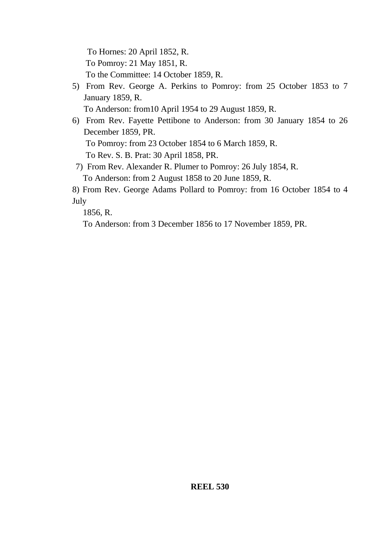To Hornes: 20 April 1852, R. To Pomroy: 21 May 1851, R. To the Committee: 14 October 1859, R.

5) From Rev. George A. Perkins to Pomroy: from 25 October 1853 to 7 January 1859, R.

To Anderson: from10 April 1954 to 29 August 1859, R.

6) From Rev. Fayette Pettibone to Anderson: from 30 January 1854 to 26 December 1859, PR.

To Pomroy: from 23 October 1854 to 6 March 1859, R.

To Rev. S. B. Prat: 30 April 1858, PR.

7) From Rev. Alexander R. Plumer to Pomroy: 26 July 1854, R.

To Anderson: from 2 August 1858 to 20 June 1859, R.

8) From Rev. George Adams Pollard to Pomroy: from 16 October 1854 to 4 July

1856, R.

To Anderson: from 3 December 1856 to 17 November 1859, PR.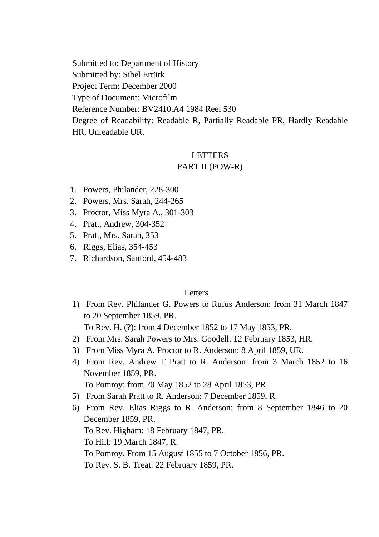Submitted to: Department of History Submitted by: Sibel Ertürk Project Term: December 2000 Type of Document: Microfilm Reference Number: BV2410.A4 1984 Reel 530

Degree of Readability: Readable R, Partially Readable PR, Hardly Readable HR, Unreadable UR.

## LETTERS

## PART II (POW-R)

- 1. Powers, Philander, 228-300
- 2. Powers, Mrs. Sarah, 244-265
- 3. Proctor, Miss Myra A., 301-303
- 4. Pratt, Andrew, 304-352
- 5. Pratt, Mrs. Sarah, 353
- 6. Riggs, Elias, 354-453
- 7. Richardson, Sanford, 454-483

## Letters

1) From Rev. Philander G. Powers to Rufus Anderson: from 31 March 1847 to 20 September 1859, PR.

To Rev. H. (?): from 4 December 1852 to 17 May 1853, PR.

- 2) From Mrs. Sarah Powers to Mrs. Goodell: 12 February 1853, HR.
- 3) From Miss Myra A. Proctor to R. Anderson: 8 April 1859, UR.
- 4) From Rev. Andrew T Pratt to R. Anderson: from 3 March 1852 to 16 November 1859, PR.

To Pomroy: from 20 May 1852 to 28 April 1853, PR.

- 5) From Sarah Pratt to R. Anderson: 7 December 1859, R.
- 6) From Rev. Elias Riggs to R. Anderson: from 8 September 1846 to 20 December 1859, PR. To Rev. Higham: 18 February 1847, PR. To Hill: 19 March 1847, R. To Pomroy. From 15 August 1855 to 7 October 1856, PR. To Rev. S. B. Treat: 22 February 1859, PR.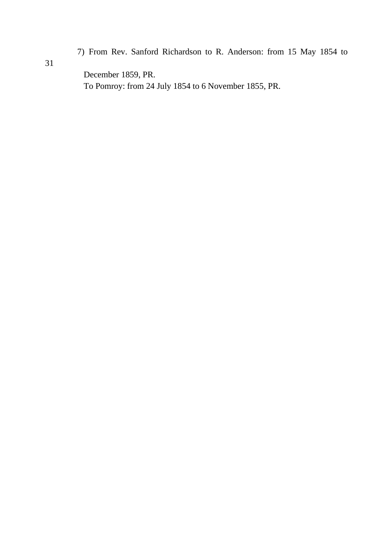7) From Rev. Sanford Richardson to R. Anderson: from 15 May 1854 to

December 1859, PR. To Pomroy: from 24 July 1854 to 6 November 1855, PR.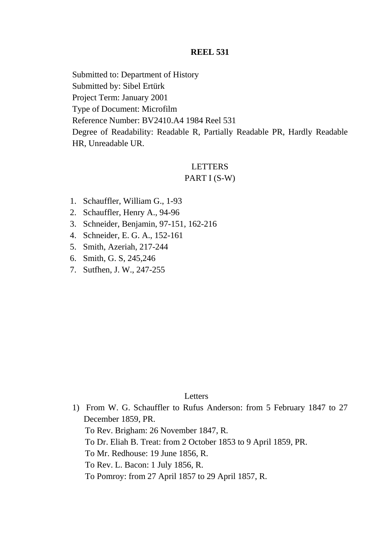Submitted to: Department of History Submitted by: Sibel Ertürk Project Term: January 2001 Type of Document: Microfilm Reference Number: BV2410.A4 1984 Reel 531 Degree of Readability: Readable R, Partially Readable PR, Hardly Readable HR, Unreadable UR.

## LETTERS

## PART I (S-W)

- 1. Schauffler, William G., 1-93
- 2. Schauffler, Henry A., 94-96
- 3. Schneider, Benjamin, 97-151, 162-216
- 4. Schneider, E. G. A., 152-161
- 5. Smith, Azeriah, 217-244
- 6. Smith, G. S, 245,246
- 7. Sutfhen, J. W., 247-255

## Letters

1) From W. G. Schauffler to Rufus Anderson: from 5 February 1847 to 27 December 1859, PR. To Rev. Brigham: 26 November 1847, R. To Dr. Eliah B. Treat: from 2 October 1853 to 9 April 1859, PR. To Mr. Redhouse: 19 June 1856, R. To Rev. L. Bacon: 1 July 1856, R. To Pomroy: from 27 April 1857 to 29 April 1857, R.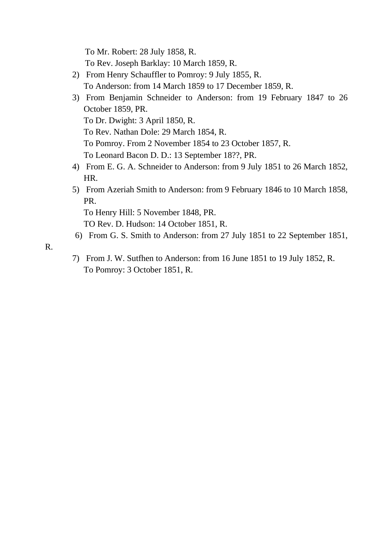To Mr. Robert: 28 July 1858, R.

- To Rev. Joseph Barklay: 10 March 1859, R.
- 2) From Henry Schauffler to Pomroy: 9 July 1855, R. To Anderson: from 14 March 1859 to 17 December 1859, R.
- 3) From Benjamin Schneider to Anderson: from 19 February 1847 to 26 October 1859, PR. To Dr. Dwight: 3 April 1850, R.

To Rev. Nathan Dole: 29 March 1854, R.

To Pomroy. From 2 November 1854 to 23 October 1857, R.

To Leonard Bacon D. D.: 13 September 18??, PR.

- 4) From E. G. A. Schneider to Anderson: from 9 July 1851 to 26 March 1852, HR.
- 5) From Azeriah Smith to Anderson: from 9 February 1846 to 10 March 1858, PR.

To Henry Hill: 5 November 1848, PR.

TO Rev. D. Hudson: 14 October 1851, R.

6) From G. S. Smith to Anderson: from 27 July 1851 to 22 September 1851,

R.

7) From J. W. Sutfhen to Anderson: from 16 June 1851 to 19 July 1852, R. To Pomroy: 3 October 1851, R.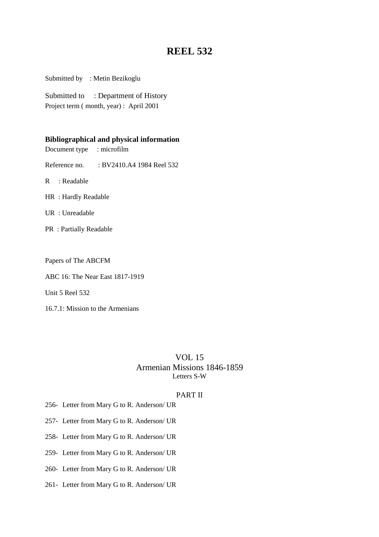Submitted by : Metin Bezikoglu

Submitted to : Department of History Project term ( month, year) : April 2001

#### **Bibliographical and physical information**

Document type : microfilm

Reference no. : BV2410.A4 1984 Reel 532

R : Readable

- HR : Hardly Readable
- UR : Unreadable
- PR : Partially Readable

Papers of The ABCFM

ABC 16: The Near East 1817-1919

Unit 5 Reel 532

16.7.1: Mission to the Armenians

## VOL 15 Armenian Missions 1846-1859 Letters S-W

### PART II

- 256- Letter from Mary G to R. Anderson/ UR
- 257- Letter from Mary G to R. Anderson/ UR
- 258- Letter from Mary G to R. Anderson/ UR
- 259- Letter from Mary G to R. Anderson/ UR
- 260- Letter from Mary G to R. Anderson/ UR
- 261- Letter from Mary G to R. Anderson/ UR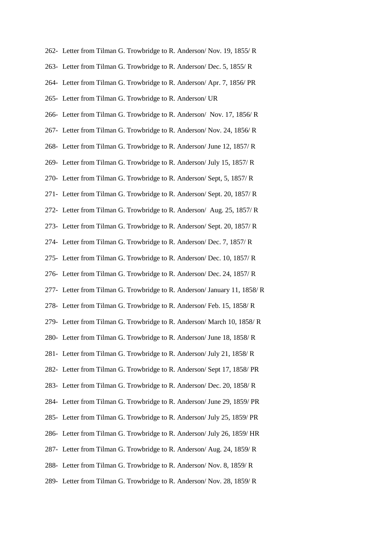- 262- Letter from Tilman G. Trowbridge to R. Anderson/ Nov. 19, 1855/ R
- 263- Letter from Tilman G. Trowbridge to R. Anderson/ Dec. 5, 1855/ R
- 264- Letter from Tilman G. Trowbridge to R. Anderson/ Apr. 7, 1856/ PR
- 265- Letter from Tilman G. Trowbridge to R. Anderson/ UR
- 266- Letter from Tilman G. Trowbridge to R. Anderson/ Nov. 17, 1856/ R
- 267- Letter from Tilman G. Trowbridge to R. Anderson/ Nov. 24, 1856/ R
- 268- Letter from Tilman G. Trowbridge to R. Anderson/ June 12, 1857/ R
- 269- Letter from Tilman G. Trowbridge to R. Anderson/ July 15, 1857/ R
- 270- Letter from Tilman G. Trowbridge to R. Anderson/ Sept, 5, 1857/ R
- 271- Letter from Tilman G. Trowbridge to R. Anderson/ Sept. 20, 1857/ R
- 272- Letter from Tilman G. Trowbridge to R. Anderson/ Aug. 25, 1857/ R
- 273- Letter from Tilman G. Trowbridge to R. Anderson/ Sept. 20, 1857/ R
- 274- Letter from Tilman G. Trowbridge to R. Anderson/ Dec. 7, 1857/ R
- 275- Letter from Tilman G. Trowbridge to R. Anderson/ Dec. 10, 1857/ R
- 276- Letter from Tilman G. Trowbridge to R. Anderson/ Dec. 24, 1857/ R
- 277- Letter from Tilman G. Trowbridge to R. Anderson/ January 11, 1858/ R
- 278- Letter from Tilman G. Trowbridge to R. Anderson/ Feb. 15, 1858/ R
- 279- Letter from Tilman G. Trowbridge to R. Anderson/ March 10, 1858/ R
- 280- Letter from Tilman G. Trowbridge to R. Anderson/ June 18, 1858/ R
- 281- Letter from Tilman G. Trowbridge to R. Anderson/ July 21, 1858/ R
- 282- Letter from Tilman G. Trowbridge to R. Anderson/ Sept 17, 1858/ PR
- 283- Letter from Tilman G. Trowbridge to R. Anderson/ Dec. 20, 1858/ R
- 284- Letter from Tilman G. Trowbridge to R. Anderson/ June 29, 1859/ PR
- 285- Letter from Tilman G. Trowbridge to R. Anderson/ July 25, 1859/ PR
- 286- Letter from Tilman G. Trowbridge to R. Anderson/ July 26, 1859/ HR
- 287- Letter from Tilman G. Trowbridge to R. Anderson/ Aug. 24, 1859/ R
- 288- Letter from Tilman G. Trowbridge to R. Anderson/ Nov. 8, 1859/ R
- 289- Letter from Tilman G. Trowbridge to R. Anderson/ Nov. 28, 1859/ R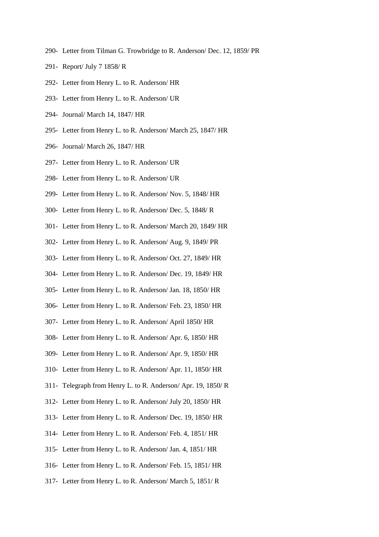- 290- Letter from Tilman G. Trowbridge to R. Anderson/ Dec. 12, 1859/ PR
- 291- Report/ July 7 1858/ R
- 292- Letter from Henry L. to R. Anderson/ HR
- 293- Letter from Henry L. to R. Anderson/ UR
- 294- Journal/ March 14, 1847/ HR
- 295- Letter from Henry L. to R. Anderson/ March 25, 1847/ HR
- 296- Journal/ March 26, 1847/ HR
- 297- Letter from Henry L. to R. Anderson/ UR
- 298- Letter from Henry L. to R. Anderson/ UR
- 299- Letter from Henry L. to R. Anderson/ Nov. 5, 1848/ HR
- 300- Letter from Henry L. to R. Anderson/ Dec. 5, 1848/ R
- 301- Letter from Henry L. to R. Anderson/ March 20, 1849/ HR
- 302- Letter from Henry L. to R. Anderson/ Aug. 9, 1849/ PR
- 303- Letter from Henry L. to R. Anderson/ Oct. 27, 1849/ HR
- 304- Letter from Henry L. to R. Anderson/ Dec. 19, 1849/ HR
- 305- Letter from Henry L. to R. Anderson/ Jan. 18, 1850/ HR
- 306- Letter from Henry L. to R. Anderson/ Feb. 23, 1850/ HR
- 307- Letter from Henry L. to R. Anderson/ April 1850/ HR
- 308- Letter from Henry L. to R. Anderson/ Apr. 6, 1850/ HR
- 309- Letter from Henry L. to R. Anderson/ Apr. 9, 1850/ HR
- 310- Letter from Henry L. to R. Anderson/ Apr. 11, 1850/ HR
- 311- Telegraph from Henry L. to R. Anderson/ Apr. 19, 1850/ R
- 312- Letter from Henry L. to R. Anderson/ July 20, 1850/ HR
- 313- Letter from Henry L. to R. Anderson/ Dec. 19, 1850/ HR
- 314- Letter from Henry L. to R. Anderson/ Feb. 4, 1851/ HR
- 315- Letter from Henry L. to R. Anderson/ Jan. 4, 1851/ HR
- 316- Letter from Henry L. to R. Anderson/ Feb. 15, 1851/ HR
- 317- Letter from Henry L. to R. Anderson/ March 5, 1851/ R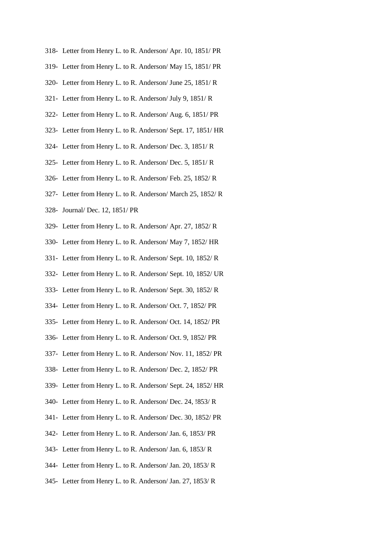- 318- Letter from Henry L. to R. Anderson/ Apr. 10, 1851/ PR
- 319- Letter from Henry L. to R. Anderson/ May 15, 1851/ PR
- 320- Letter from Henry L. to R. Anderson/ June 25, 1851/ R
- 321- Letter from Henry L. to R. Anderson/ July 9, 1851/ R
- 322- Letter from Henry L. to R. Anderson/ Aug. 6, 1851/ PR
- 323- Letter from Henry L. to R. Anderson/ Sept. 17, 1851/ HR
- 324- Letter from Henry L. to R. Anderson/ Dec. 3, 1851/ R
- 325- Letter from Henry L. to R. Anderson/ Dec. 5, 1851/ R
- 326- Letter from Henry L. to R. Anderson/ Feb. 25, 1852/ R
- 327- Letter from Henry L. to R. Anderson/ March 25, 1852/ R
- 328- Journal/ Dec. 12, 1851/ PR
- 329- Letter from Henry L. to R. Anderson/ Apr. 27, 1852/ R
- 330- Letter from Henry L. to R. Anderson/ May 7, 1852/ HR
- 331- Letter from Henry L. to R. Anderson/ Sept. 10, 1852/ R
- 332- Letter from Henry L. to R. Anderson/ Sept. 10, 1852/ UR
- 333- Letter from Henry L. to R. Anderson/ Sept. 30, 1852/ R
- 334- Letter from Henry L. to R. Anderson/ Oct. 7, 1852/ PR
- 335- Letter from Henry L. to R. Anderson/ Oct. 14, 1852/ PR
- 336- Letter from Henry L. to R. Anderson/ Oct. 9, 1852/ PR
- 337- Letter from Henry L. to R. Anderson/ Nov. 11, 1852/ PR
- 338- Letter from Henry L. to R. Anderson/ Dec. 2, 1852/ PR
- 339- Letter from Henry L. to R. Anderson/ Sept. 24, 1852/ HR
- 340- Letter from Henry L. to R. Anderson/ Dec. 24, !853/ R
- 341- Letter from Henry L. to R. Anderson/ Dec. 30, 1852/ PR
- 342- Letter from Henry L. to R. Anderson/ Jan. 6, 1853/ PR
- 343- Letter from Henry L. to R. Anderson/ Jan. 6, 1853/ R
- 344- Letter from Henry L. to R. Anderson/ Jan. 20, 1853/ R
- 345- Letter from Henry L. to R. Anderson/ Jan. 27, 1853/ R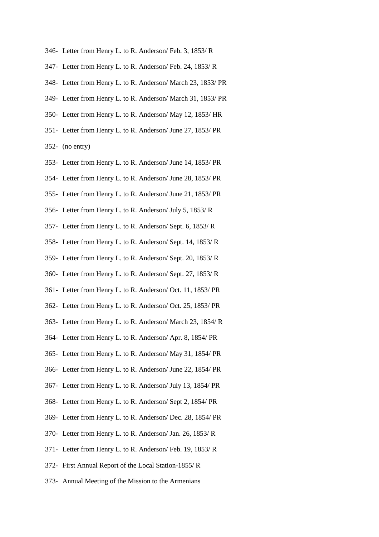- 346- Letter from Henry L. to R. Anderson/ Feb. 3, 1853/ R
- 347- Letter from Henry L. to R. Anderson/ Feb. 24, 1853/ R
- 348- Letter from Henry L. to R. Anderson/ March 23, 1853/ PR
- 349- Letter from Henry L. to R. Anderson/ March 31, 1853/ PR
- 350- Letter from Henry L. to R. Anderson/ May 12, 1853/ HR
- 351- Letter from Henry L. to R. Anderson/ June 27, 1853/ PR

352- (no entry)

- 353- Letter from Henry L. to R. Anderson/ June 14, 1853/ PR
- 354- Letter from Henry L. to R. Anderson/ June 28, 1853/ PR
- 355- Letter from Henry L. to R. Anderson/ June 21, 1853/ PR
- 356- Letter from Henry L. to R. Anderson/ July 5, 1853/ R
- 357- Letter from Henry L. to R. Anderson/ Sept. 6, 1853/ R
- 358- Letter from Henry L. to R. Anderson/ Sept. 14, 1853/ R
- 359- Letter from Henry L. to R. Anderson/ Sept. 20, 1853/ R
- 360- Letter from Henry L. to R. Anderson/ Sept. 27, 1853/ R
- 361- Letter from Henry L. to R. Anderson/ Oct. 11, 1853/ PR
- 362- Letter from Henry L. to R. Anderson/ Oct. 25, 1853/ PR
- 363- Letter from Henry L. to R. Anderson/ March 23, 1854/ R
- 364- Letter from Henry L. to R. Anderson/ Apr. 8, 1854/ PR
- 365- Letter from Henry L. to R. Anderson/ May 31, 1854/ PR
- 366- Letter from Henry L. to R. Anderson/ June 22, 1854/ PR
- 367- Letter from Henry L. to R. Anderson/ July 13, 1854/ PR
- 368- Letter from Henry L. to R. Anderson/ Sept 2, 1854/ PR
- 369- Letter from Henry L. to R. Anderson/ Dec. 28, 1854/ PR
- 370- Letter from Henry L. to R. Anderson/ Jan. 26, 1853/ R
- 371- Letter from Henry L. to R. Anderson/ Feb. 19, 1853/ R
- 372- First Annual Report of the Local Station-1855/ R
- 373- Annual Meeting of the Mission to the Armenians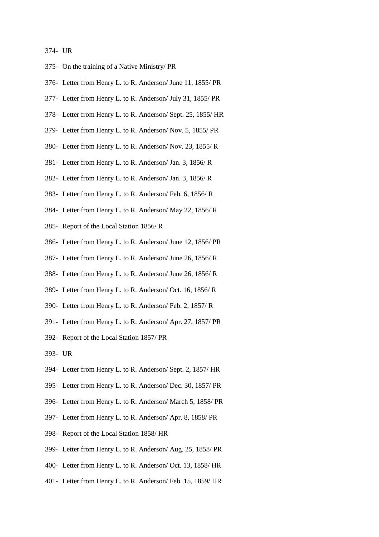#### 374- UR

- 375- On the training of a Native Ministry/ PR
- 376- Letter from Henry L. to R. Anderson/ June 11, 1855/ PR
- 377- Letter from Henry L. to R. Anderson/ July 31, 1855/ PR
- 378- Letter from Henry L. to R. Anderson/ Sept. 25, 1855/ HR
- 379- Letter from Henry L. to R. Anderson/ Nov. 5, 1855/ PR
- 380- Letter from Henry L. to R. Anderson/ Nov. 23, 1855/ R
- 381- Letter from Henry L. to R. Anderson/ Jan. 3, 1856/ R
- 382- Letter from Henry L. to R. Anderson/ Jan. 3, 1856/ R
- 383- Letter from Henry L. to R. Anderson/ Feb. 6, 1856/ R
- 384- Letter from Henry L. to R. Anderson/ May 22, 1856/ R
- 385- Report of the Local Station 1856/ R
- 386- Letter from Henry L. to R. Anderson/ June 12, 1856/ PR
- 387- Letter from Henry L. to R. Anderson/ June 26, 1856/ R
- 388- Letter from Henry L. to R. Anderson/ June 26, 1856/ R
- 389- Letter from Henry L. to R. Anderson/ Oct. 16, 1856/ R
- 390- Letter from Henry L. to R. Anderson/ Feb. 2, 1857/ R
- 391- Letter from Henry L. to R. Anderson/ Apr. 27, 1857/ PR
- 392- Report of the Local Station 1857/ PR
- 393- UR
- 394- Letter from Henry L. to R. Anderson/ Sept. 2, 1857/ HR
- 395- Letter from Henry L. to R. Anderson/ Dec. 30, 1857/ PR
- 396- Letter from Henry L. to R. Anderson/ March 5, 1858/ PR
- 397- Letter from Henry L. to R. Anderson/ Apr. 8, 1858/ PR
- 398- Report of the Local Station 1858/ HR
- 399- Letter from Henry L. to R. Anderson/ Aug. 25, 1858/ PR
- 400- Letter from Henry L. to R. Anderson/ Oct. 13, 1858/ HR
- 401- Letter from Henry L. to R. Anderson/ Feb. 15, 1859/ HR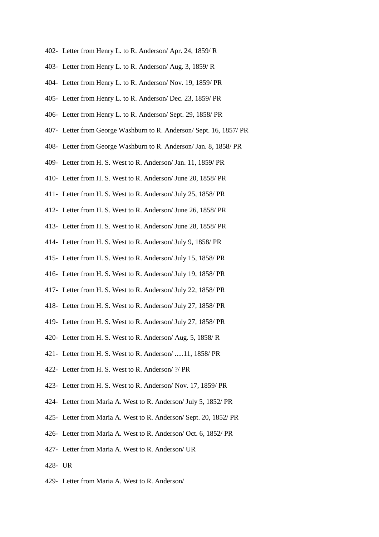- 402- Letter from Henry L. to R. Anderson/ Apr. 24, 1859/ R
- 403- Letter from Henry L. to R. Anderson/ Aug. 3, 1859/ R
- 404- Letter from Henry L. to R. Anderson/ Nov. 19, 1859/ PR
- 405- Letter from Henry L. to R. Anderson/ Dec. 23, 1859/ PR
- 406- Letter from Henry L. to R. Anderson/ Sept. 29, 1858/ PR
- 407- Letter from George Washburn to R. Anderson/ Sept. 16, 1857/ PR
- 408- Letter from George Washburn to R. Anderson/ Jan. 8, 1858/ PR
- 409- Letter from H. S. West to R. Anderson/ Jan. 11, 1859/ PR
- 410- Letter from H. S. West to R. Anderson/ June 20, 1858/ PR
- 411- Letter from H. S. West to R. Anderson/ July 25, 1858/ PR
- 412- Letter from H. S. West to R. Anderson/ June 26, 1858/ PR
- 413- Letter from H. S. West to R. Anderson/ June 28, 1858/ PR
- 414- Letter from H. S. West to R. Anderson/ July 9, 1858/ PR
- 415- Letter from H. S. West to R. Anderson/ July 15, 1858/ PR
- 416- Letter from H. S. West to R. Anderson/ July 19, 1858/ PR
- 417- Letter from H. S. West to R. Anderson/ July 22, 1858/ PR
- 418- Letter from H. S. West to R. Anderson/ July 27, 1858/ PR
- 419- Letter from H. S. West to R. Anderson/ July 27, 1858/ PR
- 420- Letter from H. S. West to R. Anderson/ Aug. 5, 1858/ R
- 421- Letter from H. S. West to R. Anderson/ .....11, 1858/ PR
- 422- Letter from H. S. West to R. Anderson/ ?/ PR
- 423- Letter from H. S. West to R. Anderson/ Nov. 17, 1859/ PR
- 424- Letter from Maria A. West to R. Anderson/ July 5, 1852/ PR
- 425- Letter from Maria A. West to R. Anderson/ Sept. 20, 1852/ PR
- 426- Letter from Maria A. West to R. Anderson/ Oct. 6, 1852/ PR
- 427- Letter from Maria A. West to R. Anderson/ UR
- 428- UR
- 429- Letter from Maria A. West to R. Anderson/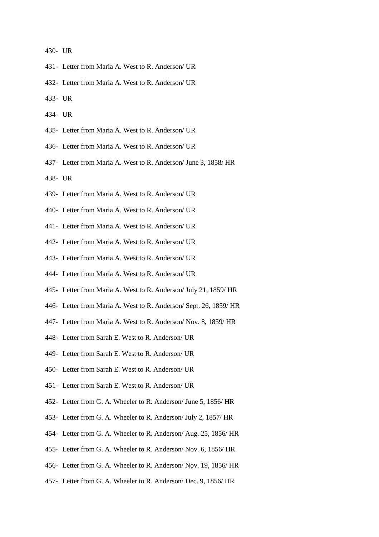430- UR

- 431- Letter from Maria A. West to R. Anderson/ UR
- 432- Letter from Maria A. West to R. Anderson/ UR
- 433- UR
- 434- UR
- 435- Letter from Maria A. West to R. Anderson/ UR
- 436- Letter from Maria A. West to R. Anderson/ UR
- 437- Letter from Maria A. West to R. Anderson/ June 3, 1858/ HR
- 438- UR
- 439- Letter from Maria A. West to R. Anderson/ UR
- 440- Letter from Maria A. West to R. Anderson/ UR
- 441- Letter from Maria A. West to R. Anderson/ UR
- 442- Letter from Maria A. West to R. Anderson/ UR
- 443- Letter from Maria A. West to R. Anderson/ UR
- 444- Letter from Maria A. West to R. Anderson/ UR
- 445- Letter from Maria A. West to R. Anderson/ July 21, 1859/ HR
- 446- Letter from Maria A. West to R. Anderson/ Sept. 26, 1859/ HR
- 447- Letter from Maria A. West to R. Anderson/ Nov. 8, 1859/ HR
- 448- Letter from Sarah E. West to R. Anderson/ UR
- 449- Letter from Sarah E. West to R. Anderson/ UR
- 450- Letter from Sarah E. West to R. Anderson/ UR
- 451- Letter from Sarah E. West to R. Anderson/ UR
- 452- Letter from G. A. Wheeler to R. Anderson/ June 5, 1856/ HR
- 453- Letter from G. A. Wheeler to R. Anderson/ July 2, 1857/ HR
- 454- Letter from G. A. Wheeler to R. Anderson/ Aug. 25, 1856/ HR
- 455- Letter from G. A. Wheeler to R. Anderson/ Nov. 6, 1856/ HR
- 456- Letter from G. A. Wheeler to R. Anderson/ Nov. 19, 1856/ HR
- 457- Letter from G. A. Wheeler to R. Anderson/ Dec. 9, 1856/ HR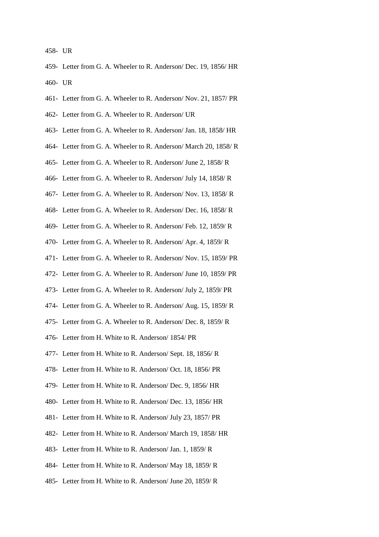458- UR

- 459- Letter from G. A. Wheeler to R. Anderson/ Dec. 19, 1856/ HR 460- UR
- 461- Letter from G. A. Wheeler to R. Anderson/ Nov. 21, 1857/ PR
- 462- Letter from G. A. Wheeler to R. Anderson/ UR
- 463- Letter from G. A. Wheeler to R. Anderson/ Jan. 18, 1858/ HR
- 464- Letter from G. A. Wheeler to R. Anderson/ March 20, 1858/ R
- 465- Letter from G. A. Wheeler to R. Anderson/ June 2, 1858/ R
- 466- Letter from G. A. Wheeler to R. Anderson/ July 14, 1858/ R
- 467- Letter from G. A. Wheeler to R. Anderson/ Nov. 13, 1858/ R
- 468- Letter from G. A. Wheeler to R. Anderson/ Dec. 16, 1858/ R
- 469- Letter from G. A. Wheeler to R. Anderson/ Feb. 12, 1859/ R
- 470- Letter from G. A. Wheeler to R. Anderson/ Apr. 4, 1859/ R
- 471- Letter from G. A. Wheeler to R. Anderson/ Nov. 15, 1859/ PR
- 472- Letter from G. A. Wheeler to R. Anderson/ June 10, 1859/ PR
- 473- Letter from G. A. Wheeler to R. Anderson/ July 2, 1859/ PR
- 474- Letter from G. A. Wheeler to R. Anderson/ Aug. 15, 1859/ R
- 475- Letter from G. A. Wheeler to R. Anderson/ Dec. 8, 1859/ R
- 476- Letter from H. White to R. Anderson/ 1854/ PR
- 477- Letter from H. White to R. Anderson/ Sept. 18, 1856/ R
- 478- Letter from H. White to R. Anderson/ Oct. 18, 1856/ PR
- 479- Letter from H. White to R. Anderson/ Dec. 9, 1856/ HR
- 480- Letter from H. White to R. Anderson/ Dec. 13, 1856/ HR
- 481- Letter from H. White to R. Anderson/ July 23, 1857/ PR
- 482- Letter from H. White to R. Anderson/ March 19, 1858/ HR
- 483- Letter from H. White to R. Anderson/ Jan. 1, 1859/ R
- 484- Letter from H. White to R. Anderson/ May 18, 1859/ R
- 485- Letter from H. White to R. Anderson/ June 20, 1859/ R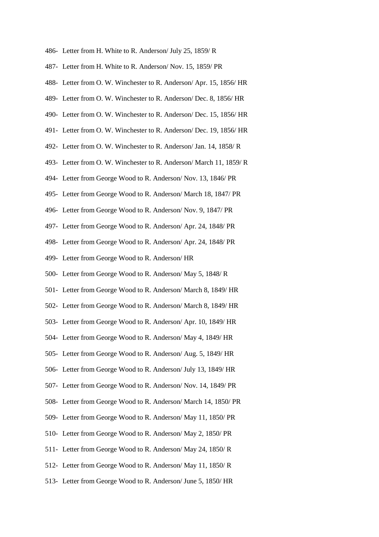- 486- Letter from H. White to R. Anderson/ July 25, 1859/ R
- 487- Letter from H. White to R. Anderson/ Nov. 15, 1859/ PR
- 488- Letter from O. W. Winchester to R. Anderson/ Apr. 15, 1856/ HR
- 489- Letter from O. W. Winchester to R. Anderson/ Dec. 8, 1856/ HR
- 490- Letter from O. W. Winchester to R. Anderson/ Dec. 15, 1856/ HR
- 491- Letter from O. W. Winchester to R. Anderson/ Dec. 19, 1856/ HR
- 492- Letter from O. W. Winchester to R. Anderson/ Jan. 14, 1858/ R
- 493- Letter from O. W. Winchester to R. Anderson/ March 11, 1859/ R
- 494- Letter from George Wood to R. Anderson/ Nov. 13, 1846/ PR
- 495- Letter from George Wood to R. Anderson/ March 18, 1847/ PR
- 496- Letter from George Wood to R. Anderson/ Nov. 9, 1847/ PR
- 497- Letter from George Wood to R. Anderson/ Apr. 24, 1848/ PR
- 498- Letter from George Wood to R. Anderson/ Apr. 24, 1848/ PR
- 499- Letter from George Wood to R. Anderson/ HR
- 500- Letter from George Wood to R. Anderson/ May 5, 1848/ R
- 501- Letter from George Wood to R. Anderson/ March 8, 1849/ HR
- 502- Letter from George Wood to R. Anderson/ March 8, 1849/ HR
- 503- Letter from George Wood to R. Anderson/ Apr. 10, 1849/ HR
- 504- Letter from George Wood to R. Anderson/ May 4, 1849/ HR
- 505- Letter from George Wood to R. Anderson/ Aug. 5, 1849/ HR
- 506- Letter from George Wood to R. Anderson/ July 13, 1849/ HR
- 507- Letter from George Wood to R. Anderson/ Nov. 14, 1849/ PR
- 508- Letter from George Wood to R. Anderson/ March 14, 1850/ PR
- 509- Letter from George Wood to R. Anderson/ May 11, 1850/ PR
- 510- Letter from George Wood to R. Anderson/ May 2, 1850/ PR
- 511- Letter from George Wood to R. Anderson/ May 24, 1850/ R
- 512- Letter from George Wood to R. Anderson/ May 11, 1850/ R
- 513- Letter from George Wood to R. Anderson/ June 5, 1850/ HR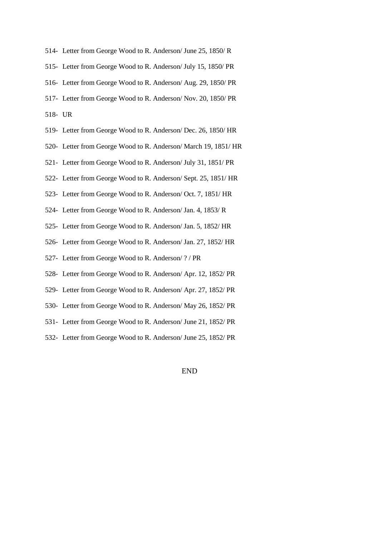- 514- Letter from George Wood to R. Anderson/ June 25, 1850/ R
- 515- Letter from George Wood to R. Anderson/ July 15, 1850/ PR
- 516- Letter from George Wood to R. Anderson/ Aug. 29, 1850/ PR
- 517- Letter from George Wood to R. Anderson/ Nov. 20, 1850/ PR
- 518- UR
- 519- Letter from George Wood to R. Anderson/ Dec. 26, 1850/ HR
- 520- Letter from George Wood to R. Anderson/ March 19, 1851/ HR
- 521- Letter from George Wood to R. Anderson/ July 31, 1851/ PR
- 522- Letter from George Wood to R. Anderson/ Sept. 25, 1851/ HR
- 523- Letter from George Wood to R. Anderson/ Oct. 7, 1851/ HR
- 524- Letter from George Wood to R. Anderson/ Jan. 4, 1853/ R
- 525- Letter from George Wood to R. Anderson/ Jan. 5, 1852/ HR
- 526- Letter from George Wood to R. Anderson/ Jan. 27, 1852/ HR
- 527- Letter from George Wood to R. Anderson/ ? / PR
- 528- Letter from George Wood to R. Anderson/ Apr. 12, 1852/ PR
- 529- Letter from George Wood to R. Anderson/ Apr. 27, 1852/ PR
- 530- Letter from George Wood to R. Anderson/ May 26, 1852/ PR
- 531- Letter from George Wood to R. Anderson/ June 21, 1852/ PR
- 532- Letter from George Wood to R. Anderson/ June 25, 1852/ PR

END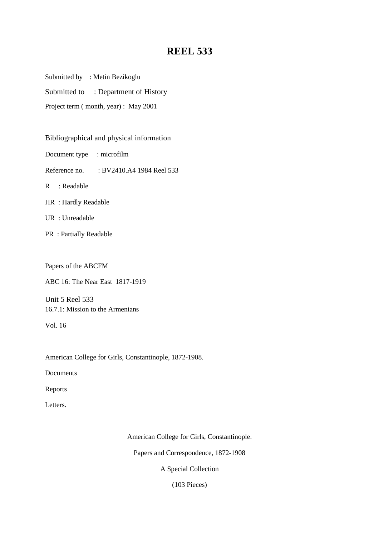Submitted by : Metin Bezikoglu

Submitted to : Department of History

Project term ( month, year) : May 2001

Bibliographical and physical information

Document type : microfilm

Reference no. : BV2410.A4 1984 Reel 533

R : Readable

HR : Hardly Readable

UR : Unreadable

PR : Partially Readable

Papers of the ABCFM

ABC 16: The Near East 1817-1919

Unit 5 Reel 533 16.7.1: Mission to the Armenians

Vol. 16

American College for Girls, Constantinople, 1872-1908.

Documents

Reports

Letters.

American College for Girls, Constantinople.

Papers and Correspondence, 1872-1908

A Special Collection

(103 Pieces)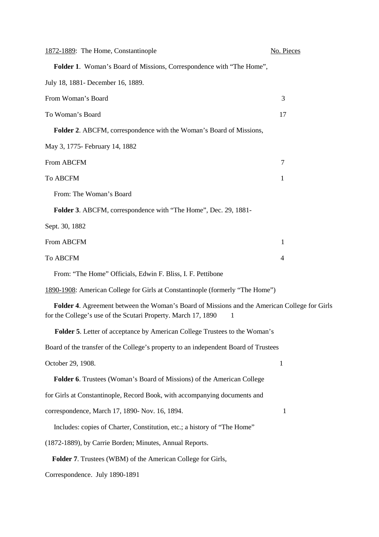| 1872-1889: The Home, Constantinople                                                                                                                           | No. Pieces   |
|---------------------------------------------------------------------------------------------------------------------------------------------------------------|--------------|
| Folder 1. Woman's Board of Missions, Correspondence with "The Home",                                                                                          |              |
| July 18, 1881- December 16, 1889.                                                                                                                             |              |
| From Woman's Board                                                                                                                                            | 3            |
| To Woman's Board                                                                                                                                              | 17           |
| <b>Folder 2.</b> ABCFM, correspondence with the Woman's Board of Missions,                                                                                    |              |
| May 3, 1775- February 14, 1882                                                                                                                                |              |
| From ABCFM                                                                                                                                                    | 7            |
| To ABCFM                                                                                                                                                      | 1            |
| From: The Woman's Board                                                                                                                                       |              |
| Folder 3. ABCFM, correspondence with "The Home", Dec. 29, 1881-                                                                                               |              |
| Sept. 30, 1882                                                                                                                                                |              |
| From ABCFM                                                                                                                                                    | 1            |
| To ABCFM                                                                                                                                                      | 4            |
| From: "The Home" Officials, Edwin F. Bliss, I. F. Pettibone                                                                                                   |              |
| 1890-1908: American College for Girls at Constantinople (formerly "The Home")                                                                                 |              |
| Folder 4. Agreement between the Woman's Board of Missions and the American College for Girls<br>for the College's use of the Scutari Property. March 17, 1890 |              |
| Folder 5. Letter of acceptance by American College Trustees to the Woman's                                                                                    |              |
| Board of the transfer of the College's property to an independent Board of Trustees                                                                           |              |
| October 29, 1908.                                                                                                                                             | $\mathbf{1}$ |
| Folder 6. Trustees (Woman's Board of Missions) of the American College                                                                                        |              |
| for Girls at Constantinople, Record Book, with accompanying documents and                                                                                     |              |
| correspondence, March 17, 1890- Nov. 16, 1894.                                                                                                                | $\mathbf{1}$ |
| Includes: copies of Charter, Constitution, etc.; a history of "The Home"                                                                                      |              |
| (1872-1889), by Carrie Borden; Minutes, Annual Reports.                                                                                                       |              |
| Folder 7. Trustees (WBM) of the American College for Girls,                                                                                                   |              |

Correspondence. July 1890-1891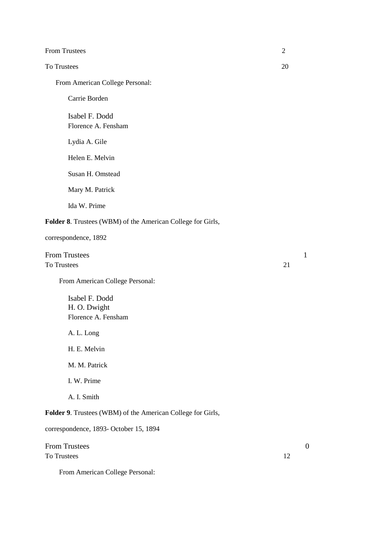| <b>From Trustees</b> |  |
|----------------------|--|
|                      |  |
|                      |  |

### To Trustees 20

From American College Personal:

Carrie Borden

Isabel F. Dodd Florence A. Fensham

Lydia A. Gile

Helen E. Melvin

Susan H. Omstead

Mary M. Patrick

Ida W. Prime

#### **Folder 8**. Trustees (WBM) of the American College for Girls,

correspondence, 1892

From Trustees 1 To Trustees 21

From American College Personal:

 Isabel F. Dodd H. O. Dwight Florence A. Fensham

A. L. Long

H. E. Melvin

M. M. Patrick

I. W. Prime

A. I. Smith

**Folder 9**. Trustees (WBM) of the American College for Girls,

correspondence, 1893- October 15, 1894

From Trustees 0 To Trustees 12

From American College Personal: